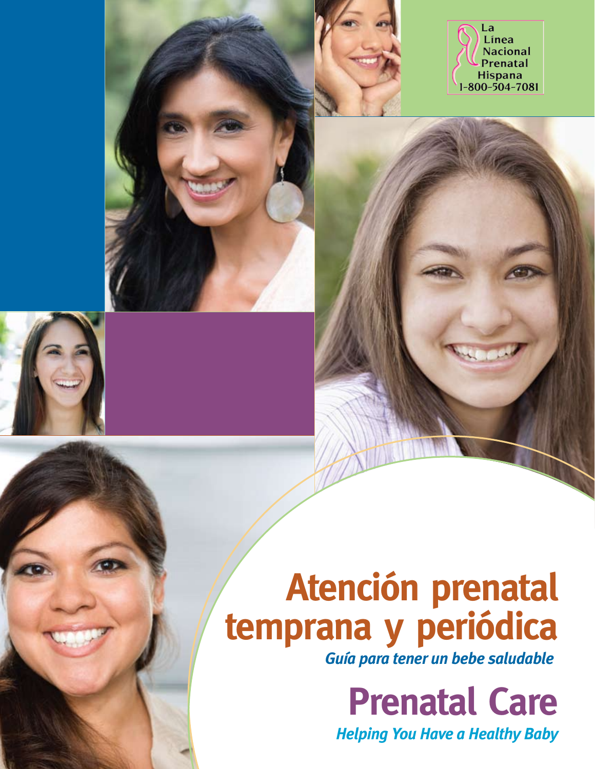

# **Atención prenatal** temprana y periódica

**Guía para tener un bebe saludable** 

**Prenatal Care** 

**Helping You Have a Healthy Baby**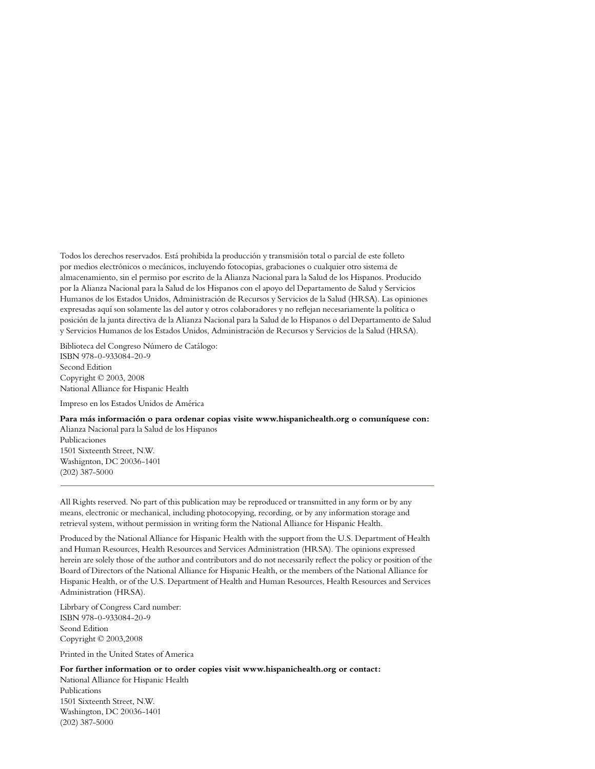Todos los derechos reservados. Está prohibida la producción y transmisión total o parcial de este folleto por medios electrónicos o mecánicos, incluyendo fotocopias, grabaciones o cualquier otro sistema de almacenamiento, sin el permiso por escrito de la Alianza Nacional para la Salud de los Hispanos. Producido por la Alianza Nacional para la Salud de los Hispanos con el apoyo del Departamento de Salud y Servicios Humanos de los Estados Unidos, Administración de Recursos y Servicios de la Salud (HRSA). Las opiniones expresadas aquí son solamente las del autor y otros colaboradores y no reflejan necesariamente la política o posición de la junta directiva de la Alianza Nacional para la Salud de lo Hispanos o del Departamento de Salud y Servicios Humanos de los Estados Unidos, Administración de Recursos y Servicios de la Salud (HRSA).

Biblioteca del Congreso Número de Catálogo: ISBN 978-0-933084-20-9 Second Edition Copyright © 2003, 2008 National Alliance for Hispanic Health

Impreso en los Estados Unidos de América

(202) 387-5000

**Para más información o para ordenar copias visite www.hispanichealth.org o comuníquese con:** Alianza Nacional para la Salud de los Hispanos Publicaciones 1501 Sixteenth Street, N.W. Washignton, DC 20036-1401

All Rights reserved. No part of this publication may be reproduced or transmitted in any form or by any means, electronic or mechanical, including photocopying, recording, or by any information storage and retrieval system, without permission in writing form the National Alliance for Hispanic Health.

Produced by the National Alliance for Hispanic Health with the support from the U.S. Department of Health and Human Resources, Health Resources and Services Administration (HRSA). The opinions expressed herein are solely those of the author and contributors and do not necessarily reflect the policy or position of the Board of Directors of the National Alliance for Hispanic Health, or the members of the National Alliance for Hispanic Health, or of the U.S. Department of Health and Human Resources, Health Resources and Services Administration (HRSA).

Librbary of Congress Card number: ISBN 978-0-933084-20-9 Seond Edition Copyright © 2003,2008

Printed in the United States of America

**For further information or to order copies visit www.hispanichealth.org or contact:**

National Alliance for Hispanic Health Publications 1501 Sixteenth Street, N.W. Washington, DC 20036-1401 (202) 387-5000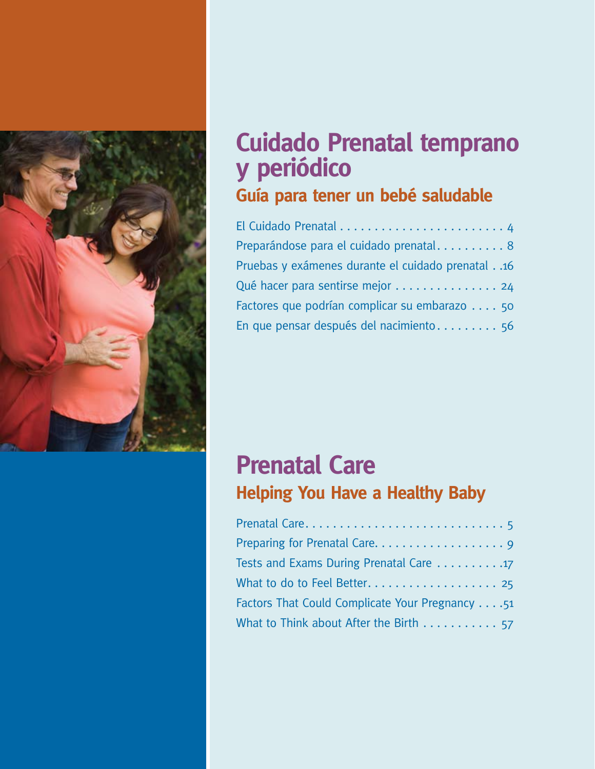

## **Cuidado Prenatal temprano y** periódico Guía para tener un bebé saludable

| Preparándose para el cuidado prenatal 8             |
|-----------------------------------------------------|
| Pruebas y exámenes durante el cuidado prenatal. .16 |
| Qué hacer para sentirse mejor 24                    |
| Factores que podrían complicar su embarazo 50       |
| En que pensar después del nacimiento 56             |

## **Prenatal Care Helping You Have a Healthy Baby**

| Tests and Exams During Prenatal Care 17                       |
|---------------------------------------------------------------|
|                                                               |
| Factors That Could Complicate Your Pregnancy 51               |
| What to Think about After the Birth $\ldots \ldots \ldots$ 57 |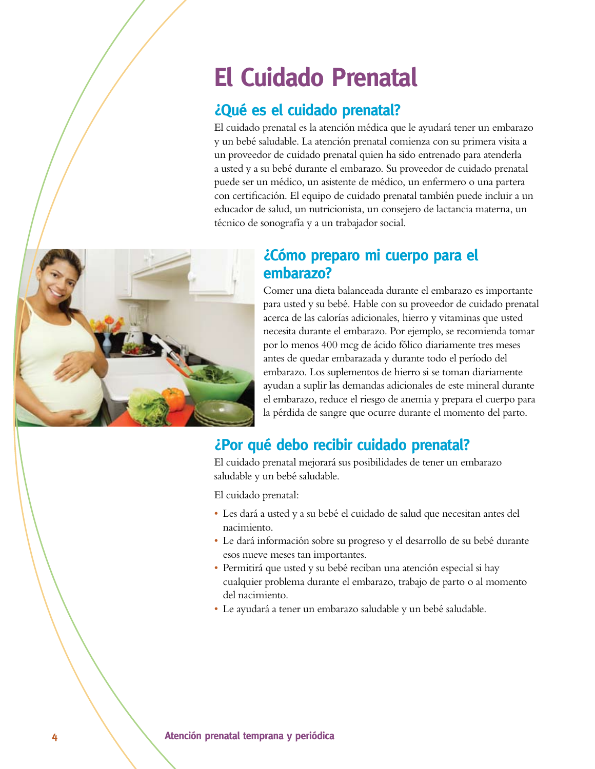## **El Cuidado Prenatal**

### $i$ Qué es el cuidado prenatal?

El cuidado prenatal es la atención médica que le ayudará tener un embarazo y un bebé saludable. La atención prenatal comienza con su primera visita a un proveedor de cuidado prenatal quien ha sido entrenado para atenderla a usted y a su bebé durante el embarazo. Su proveedor de cuidado prenatal puede ser un médico, un asistente de médico, un enfermero o una partera con certificación. El equipo de cuidado prenatal también puede incluir a un educador de salud, un nutricionista, un consejero de lactancia materna, un técnico de sonografía y a un trabajador social.



### $i$ Cómo preparo mi cuerpo para el embarazo?

Comer una dieta balanceada durante el embarazo es importante para usted y su bebé. Hable con su proveedor de cuidado prenatal acerca de las calorías adicionales, hierro y vitaminas que usted necesita durante el embarazo. Por ejemplo, se recomienda tomar por lo menos 400 mcg de ácido fólico diariamente tres meses antes de quedar embarazada y durante todo el período del embarazo. Los suplementos de hierro si se toman diariamente ayudan a suplir las demandas adicionales de este mineral durante el embarazo, reduce el riesgo de anemia y prepara el cuerpo para la pérdida de sangre que ocurre durante el momento del parto.

### *¿Por qué debo recibir cuidado prenatal?*

El cuidado prenatal mejorará sus posibilidades de tener un embarazo saludable y un bebé saludable.

El cuidado prenatal:

- s Les dará a usted y a su bebé el cuidado de salud que necesitan antes del nacimiento.
- s Le dará información sobre su progreso y el desarrollo de su bebé durante esos nueve meses tan importantes.
- Permitirá que usted y su bebé reciban una atención especial si hay cualquier problema durante el embarazo, trabajo de parto o al momento del nacimiento.
- Le ayudará a tener un embarazo saludable y un bebé saludable.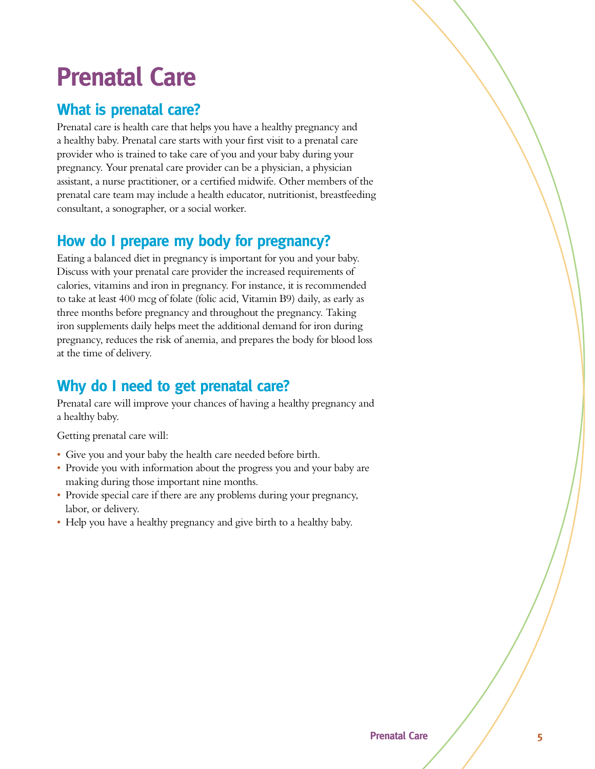## **Prenatal Care**

### **What is prenatal care?**

Prenatal care is health care that helps you have a healthy pregnancy and a healthy baby. Prenatal care starts with your first visit to a prenatal care provider who is trained to take care of you and your baby during your pregnancy. Your prenatal care provider can be a physician, a physician assistant, a nurse practitioner, or a certified midwife. Other members of the prenatal care team may include a health educator, nutritionist, breastfeeding consultant, a sonographer, or a social worker.

### How do I prepare my body for pregnancy?

Eating a balanced diet in pregnancy is important for you and your baby. Discuss with your prenatal care provider the increased requirements of calories, vitamins and iron in pregnancy. For instance, it is recommended to take at least 400 mcg of folate (folic acid, Vitamin B9) daily, as early as three months before pregnancy and throughout the pregnancy. Taking iron supplements daily helps meet the additional demand for iron during pregnancy, reduces the risk of anemia, and prepares the body for blood loss at the time of delivery.

### **Why do I need to get prenatal care?**

Prenatal care will improve your chances of having a healthy pregnancy and a healthy baby.

Getting prenatal care will:

- Give you and your baby the health care needed before birth.
- Provide you with information about the progress you and your baby are making during those important nine months.
- Provide special care if there are any problems during your pregnancy, labor, or delivery.
- Help you have a healthy pregnancy and give birth to a healthy baby.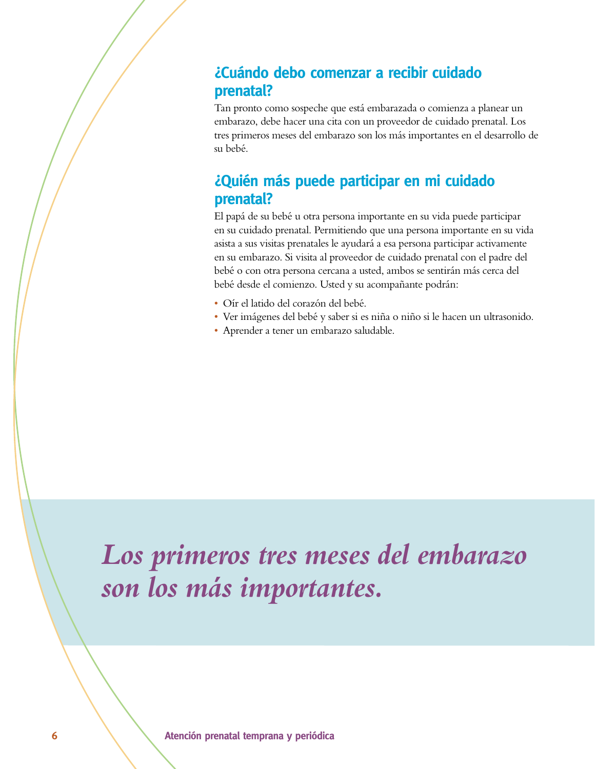### ¿Cuándo debo comenzar a recibir cuidado **prenatal?**

Tan pronto como sospeche que está embarazada o comienza a planear un embarazo, debe hacer una cita con un proveedor de cuidado prenatal. Los tres primeros meses del embarazo son los más importantes en el desarrollo de su bebé.

### $i$ Quién más puede participar en mi cuidado **prenatal?**

El papá de su bebé u otra persona importante en su vida puede participar en su cuidado prenatal. Permitiendo que una persona importante en su vida asista a sus visitas prenatales le ayudará a esa persona participar activamente en su embarazo. Si visita al proveedor de cuidado prenatal con el padre del bebé o con otra persona cercana a usted, ambos se sentirán más cerca del bebé desde el comienzo. Usted y su acompañante podrán:

- s Oír el latido del corazón del bebé.
- s Ver imágenes del bebé y saber si es niña o niño si le hacen un ultrasonido.
- s Aprender a tener un embarazo saludable.

## *Los primeros tres meses del embarazo son los más importantes.*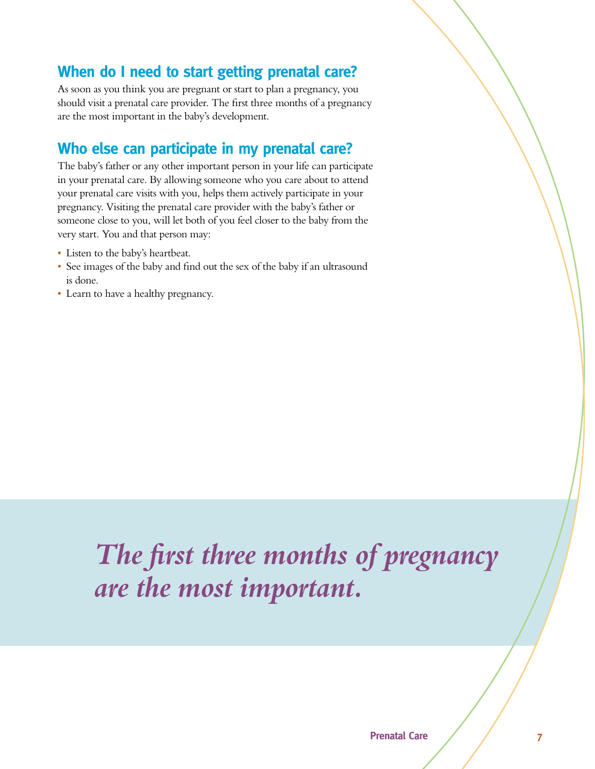### **When do I need to start getting prenatal care?**

As soon as you think you are pregnant or start to plan a pregnancy, you should visit a prenatal care provider. The first three months of a pregnancy are the most important in the baby's development.

### **Who else can participate in my prenatal care?**

The baby's father or any other important person in your life can participate in your prenatal care. By allowing someone who you care about to attend your prenatal care visits with you, helps them actively participate in your pregnancy. Visiting the prenatal care provider with the baby's father or someone close to you, will let both of you feel closer to the baby from the very start. You and that person may:

- Listen to the baby's heartbeat.
- See images of the baby and find out the sex of the baby if an ultrasound is done.
- Learn to have a healthy pregnancy.

## *The first three months of pregnancy are the most important.*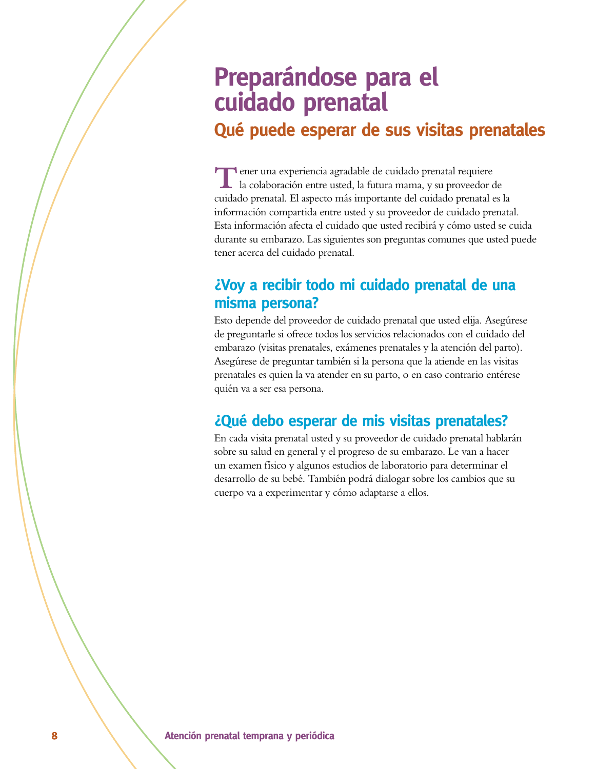## **Preparándose para el** cuidado prenatal

### Qué puede esperar de sus visitas prenatales

**T**ener una experiencia agradable de cuidado prenatal requiere la colaboración entre usted, la futura mama, y su proveedor de cuidado prenatal. El aspecto más importante del cuidado prenatal es la información compartida entre usted y su proveedor de cuidado prenatal. Esta información afecta el cuidado que usted recibirá y cómo usted se cuida durante su embarazo. Las siguientes son preguntas comunes que usted puede tener acerca del cuidado prenatal.

### $i$ Voy a recibir todo mi cuidado prenatal de una misma persona?

Esto depende del proveedor de cuidado prenatal que usted elija. Asegúrese de preguntarle si ofrece todos los servicios relacionados con el cuidado del embarazo (visitas prenatales, exámenes prenatales y la atención del parto). Asegúrese de preguntar también si la persona que la atiende en las visitas prenatales es quien la va atender en su parto, o en caso contrario entérese quién va a ser esa persona.

### $\mathcal{L}$ Qué debo esperar de mis visitas prenatales?

En cada visita prenatal usted y su proveedor de cuidado prenatal hablarán sobre su salud en general y el progreso de su embarazo. Le van a hacer un examen físico y algunos estudios de laboratorio para determinar el desarrollo de su bebé. También podrá dialogar sobre los cambios que su cuerpo va a experimentar y cómo adaptarse a ellos.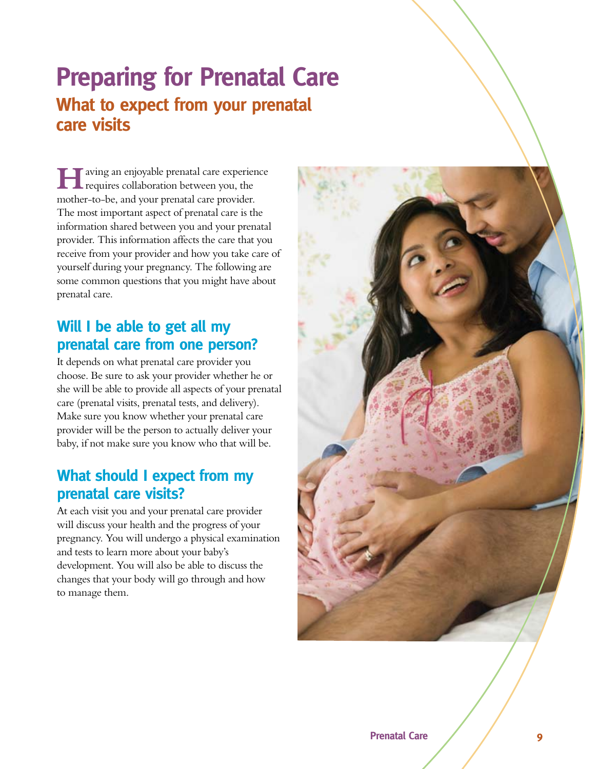## **Preparing for Prenatal Care What to expect from your prenatal Care visits**

**Faving an enjoyable prenatal care experience** requires collaboration between you, the mother-to-be, and your prenatal care provider. The most important aspect of prenatal care is the information shared between you and your prenatal provider. This information affects the care that you receive from your provider and how you take care of yourself during your pregnancy. The following are some common questions that you might have about prenatal care.

### **Will I be able to get all my prenatal care from one person?**

It depends on what prenatal care provider you choose. Be sure to ask your provider whether he or she will be able to provide all aspects of your prenatal care (prenatal visits, prenatal tests, and delivery). Make sure you know whether your prenatal care provider will be the person to actually deliver your baby, if not make sure you know who that will be.

### **What should I expect from my prenatal care visits?**

At each visit you and your prenatal care provider will discuss your health and the progress of your pregnancy. You will undergo a physical examination and tests to learn more about your baby's development. You will also be able to discuss the changes that your body will go through and how to manage them.

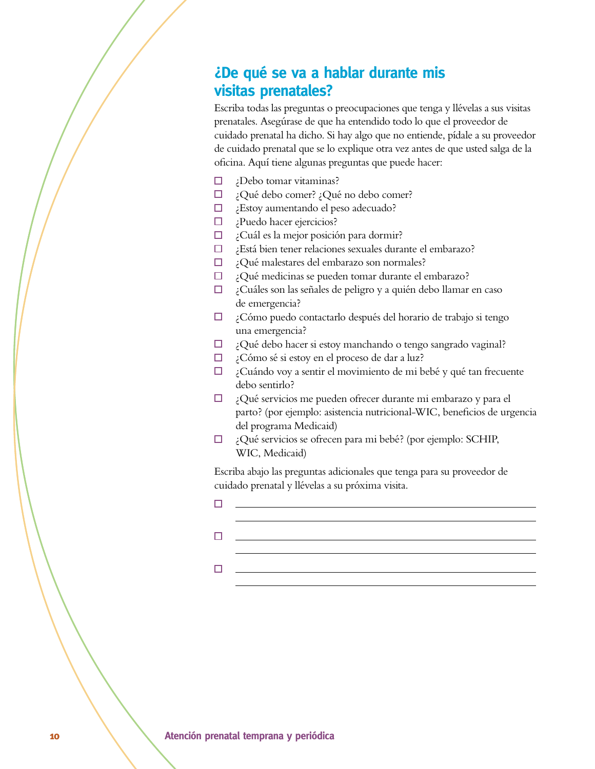### *i*De qué se va a hablar durante mis **visitas prenatales?**

Escriba todas las preguntas o preocupaciones que tenga y llévelas a sus visitas prenatales. Asegúrase de que ha entendido todo lo que el proveedor de cuidado prenatal ha dicho. Si hay algo que no entiende, pídale a su proveedor de cuidado prenatal que se lo explique otra vez antes de que usted salga de la oficina. Aquí tiene algunas preguntas que puede hacer:

- $\Box$ ¿Debo tomar vitaminas?
- $\Box$ ¿Qué debo comer? ¿Qué no debo comer?
- ¿Estoy aumentando el peso adecuado?
- ¿Puedo hacer ejercicios?
- ¿Cuál es la mejor posición para dormir?
- $\Box$ ¿Está bien tener relaciones sexuales durante el embarazo?
- $\Box$ ¿Qué malestares del embarazo son normales?
- $\Box$ ¿Qué medicinas se pueden tomar durante el embarazo?
- $\Box$ ¿Cuáles son las señales de peligro y a quién debo llamar en caso de emergencia?
- ¿Cómo puedo contactarlo después del horario de trabajo si tengo una emergencia?
- ¿Qué debo hacer si estoy manchando o tengo sangrado vaginal?  $\Box$
- ¿Cómo sé si estoy en el proceso de dar a luz?
- $\Box$  ¿Cuándo voy a sentir el movimiento de mi bebé y qué tan frecuente debo sentirlo?
- $\Box$  ¿Qué servicios me pueden ofrecer durante mi embarazo y para el parto? (por ejemplo: asistencia nutricional-WIC, beneficios de urgencia del programa Medicaid)
- $\Box$  ¿Qué servicios se ofrecen para mi bebé? (por ejemplo: SCHIP, WIC, Medicaid)

Escriba abajo las preguntas adicionales que tenga para su proveedor de cuidado prenatal y llévelas a su próxima visita.

 $\Box$  $\Box$  $\Box$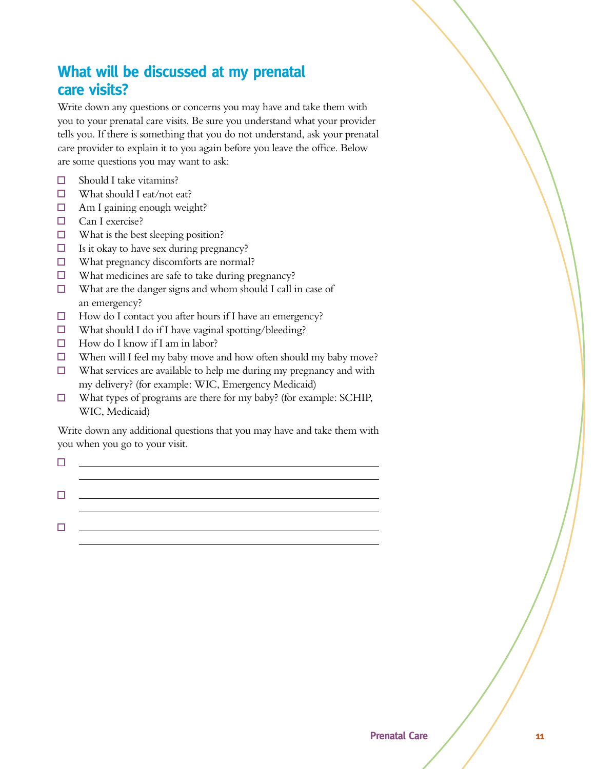### **What will be discussed at my prenatal Care visits?**

Write down any questions or concerns you may have and take them with you to your prenatal care visits. Be sure you understand what your provider tells you. If there is something that you do not understand, ask your prenatal care provider to explain it to you again before you leave the office. Below are some questions you may want to ask:

- Should I take vitamins?  $\Box$
- $\Box$  What should I eat/not eat?
- $\Box$ Am I gaining enough weight?
- $\Box$  Can I exercise?
- $\Box$  What is the best sleeping position?
- $\Box$ Is it okay to have sex during pregnancy?
- $\Box$ What pregnancy discomforts are normal?
- $\Box$ What medicines are safe to take during pregnancy?
- $\Box$ What are the danger signs and whom should I call in case of an emergency?
- $\Box$ How do I contact you after hours if I have an emergency?
- $\Box$ What should I do if I have vaginal spotting/bleeding?
- $\Box$  How do I know if I am in labor?
- $\Box$  When will I feel my baby move and how often should my baby move?
- $\Box$ What services are available to help me during my pregnancy and with my delivery? (for example: WIC, Emergency Medicaid)
- $\Box$ What types of programs are there for my baby? (for example: SCHIP, WIC, Medicaid)

Write down any additional questions that you may have and take them with you when you go to your visit.

|              | the contract of the contract of the contract of the contract of the contract of the contract of the contract of |  |  |
|--------------|-----------------------------------------------------------------------------------------------------------------|--|--|
|              |                                                                                                                 |  |  |
| $\mathbf{L}$ |                                                                                                                 |  |  |
|              |                                                                                                                 |  |  |
| т.           |                                                                                                                 |  |  |
|              |                                                                                                                 |  |  |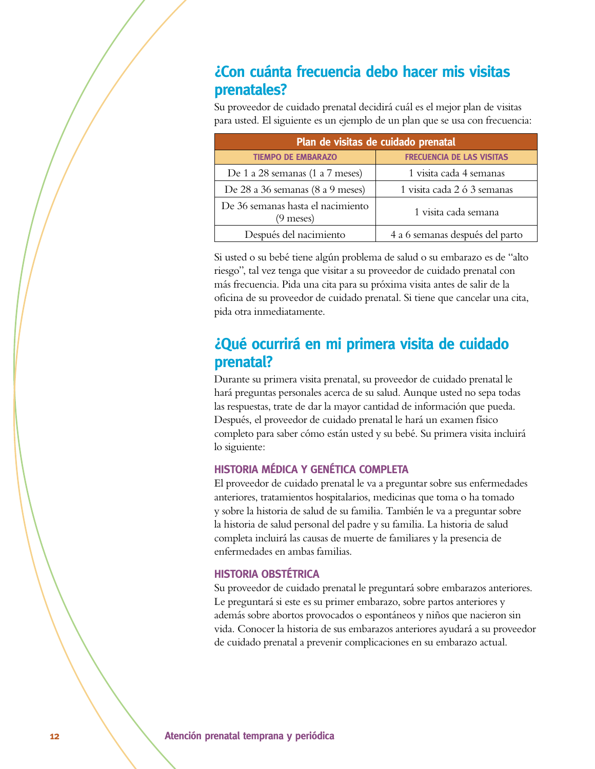### **¿Con cuánta frecuencia debo hacer mis visitas prenatales?**

Su proveedor de cuidado prenatal decidirá cuál es el mejor plan de visitas para usted. El siguiente es un ejemplo de un plan que se usa con frecuencia:

| Plan de visitas de cuidado prenatal            |                                  |  |  |  |
|------------------------------------------------|----------------------------------|--|--|--|
| <b>TIEMPO DE EMBARAZO</b>                      | <b>FRECUENCIA DE LAS VISITAS</b> |  |  |  |
| De 1 a 28 semanas (1 a 7 meses)                | 1 visita cada 4 semanas          |  |  |  |
| De 28 a 36 semanas (8 a 9 meses)               | 1 visita cada 2 ó 3 semanas      |  |  |  |
| De 36 semanas hasta el nacimiento<br>(9 meses) | 1 visita cada semana             |  |  |  |
| Después del nacimiento                         | 4 a 6 semanas después del parto  |  |  |  |

Si usted o su bebé tiene algún problema de salud o su embarazo es de "alto riesgo", tal vez tenga que visitar a su proveedor de cuidado prenatal con más frecuencia. Pida una cita para su próxima visita antes de salir de la oficina de su proveedor de cuidado prenatal. Si tiene que cancelar una cita, pida otra inmediatamente.

### $\lambda$ Qué ocurrirá en mi primera visita de cuidado **prenatal?**

Durante su primera visita prenatal, su proveedor de cuidado prenatal le hará preguntas personales acerca de su salud. Aunque usted no sepa todas las respuestas, trate de dar la mayor cantidad de información que pueda. Después, el proveedor de cuidado prenatal le hará un examen físico completo para saber cómo están usted y su bebé. Su primera visita incluirá lo siguiente:

#### **HISTORIA MÉDICA Y GENÉTICA COMPLETA**

El proveedor de cuidado prenatal le va a preguntar sobre sus enfermedades anteriores, tratamientos hospitalarios, medicinas que toma o ha tomado y sobre la historia de salud de su familia. También le va a preguntar sobre la historia de salud personal del padre y su familia. La historia de salud completa incluirá las causas de muerte de familiares y la presencia de enfermedades en ambas familias.

#### **HISTORIA OBSTÉTRICA**

Su proveedor de cuidado prenatal le preguntará sobre embarazos anteriores. Le preguntará si este es su primer embarazo, sobre partos anteriores y además sobre abortos provocados o espontáneos y niños que nacieron sin vida. Conocer la historia de sus embarazos anteriores ayudará a su proveedor de cuidado prenatal a prevenir complicaciones en su embarazo actual.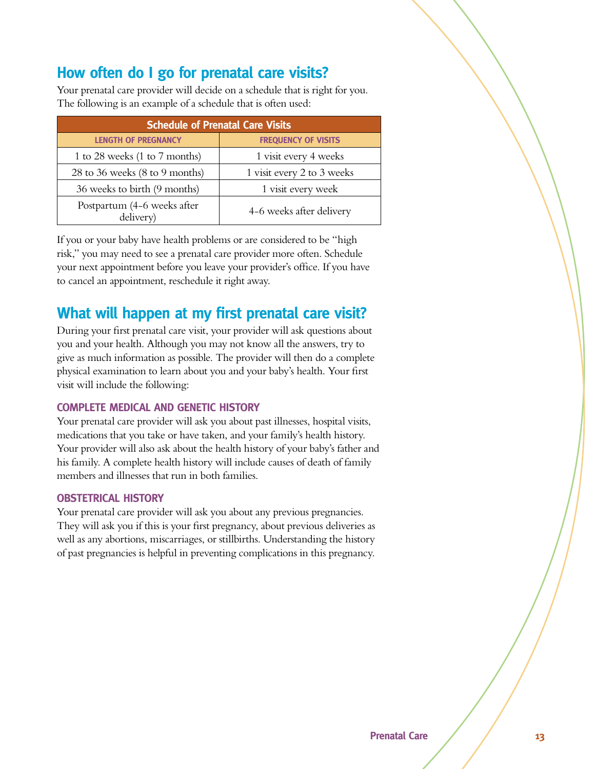### How often do I go for prenatal care visits?

Your prenatal care provider will decide on a schedule that is right for you. The following is an example of a schedule that is often used:

| <b>Schedule of Prenatal Care Visits</b>  |                            |  |  |  |
|------------------------------------------|----------------------------|--|--|--|
| <b>LENGTH OF PREGNANCY</b>               | <b>FREQUENCY OF VISITS</b> |  |  |  |
| 1 to 28 weeks (1 to 7 months)            | 1 visit every 4 weeks      |  |  |  |
| 28 to 36 weeks (8 to 9 months)           | 1 visit every 2 to 3 weeks |  |  |  |
| 36 weeks to birth (9 months)             | 1 visit every week         |  |  |  |
| Postpartum (4-6 weeks after<br>delivery) | 4-6 weeks after delivery   |  |  |  |

If you or your baby have health problems or are considered to be "high risk," you may need to see a prenatal care provider more often. Schedule your next appointment before you leave your provider's office. If you have to cancel an appointment, reschedule it right away.

### **What will happen at my first prenatal care visit?**

During your first prenatal care visit, your provider will ask questions about you and your health. Although you may not know all the answers, try to give as much information as possible. The provider will then do a complete physical examination to learn about you and your baby's health. Your first visit will include the following:

#### **COMPLETE MEDICAL AND GENETIC HISTORY**

Your prenatal care provider will ask you about past illnesses, hospital visits, medications that you take or have taken, and your family's health history. Your provider will also ask about the health history of your baby's father and his family. A complete health history will include causes of death of family members and illnesses that run in both families.

#### **OBSTETRICAL HISTORY**

Your prenatal care provider will ask you about any previous pregnancies. They will ask you if this is your first pregnancy, about previous deliveries as well as any abortions, miscarriages, or stillbirths. Understanding the history of past pregnancies is helpful in preventing complications in this pregnancy.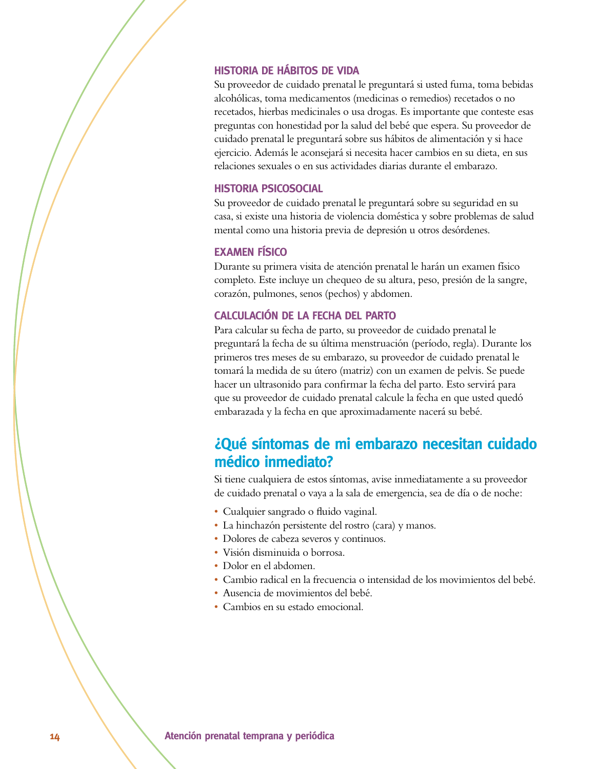#### **HISTORIA DE HÁBITOS DE VIDA**

Su proveedor de cuidado prenatal le preguntará si usted fuma, toma bebidas alcohólicas, toma medicamentos (medicinas o remedios) recetados o no recetados, hierbas medicinales o usa drogas. Es importante que conteste esas preguntas con honestidad por la salud del bebé que espera. Su proveedor de cuidado prenatal le preguntará sobre sus hábitos de alimentación y si hace ejercicio. Además le aconsejará si necesita hacer cambios en su dieta, en sus relaciones sexuales o en sus actividades diarias durante el embarazo.

#### **HISTORIA PSICOSOCIAL**

Su proveedor de cuidado prenatal le preguntará sobre su seguridad en su casa, si existe una historia de violencia doméstica y sobre problemas de salud mental como una historia previa de depresión u otros desórdenes.

#### **EXAMEN FÍSICO**

Durante su primera visita de atención prenatal le harán un examen físico completo. Este incluye un chequeo de su altura, peso, presión de la sangre, corazón, pulmones, senos (pechos) y abdomen.

#### **CALCULACIÓN DE LA FECHA DEL PARTO**

Para calcular su fecha de parto, su proveedor de cuidado prenatal le preguntará la fecha de su última menstruación (período, regla). Durante los primeros tres meses de su embarazo, su proveedor de cuidado prenatal le tomará la medida de su útero (matriz) con un examen de pelvis. Se puede hacer un ultrasonido para confirmar la fecha del parto. Esto servirá para que su proveedor de cuidado prenatal calcule la fecha en que usted quedó embarazada y la fecha en que aproximadamente nacerá su bebé.

#### *<u>iOué síntomas de mi embarazo necesitan cuidado*</u> médico inmediato?

Si tiene cualquiera de estos síntomas, avise inmediatamente a su proveedor de cuidado prenatal o vaya a la sala de emergencia, sea de día o de noche:

- Cualquier sangrado o fluido vaginal.
- La hinchazón persistente del rostro (cara) y manos.
- s Dolores de cabeza severos y continuos.
- s Visión disminuida o borrosa.
- Dolor en el abdomen.
- s Cambio radical en la frecuencia o intensidad de los movimientos del bebé.
- s Ausencia de movimientos del bebé.
- Cambios en su estado emocional.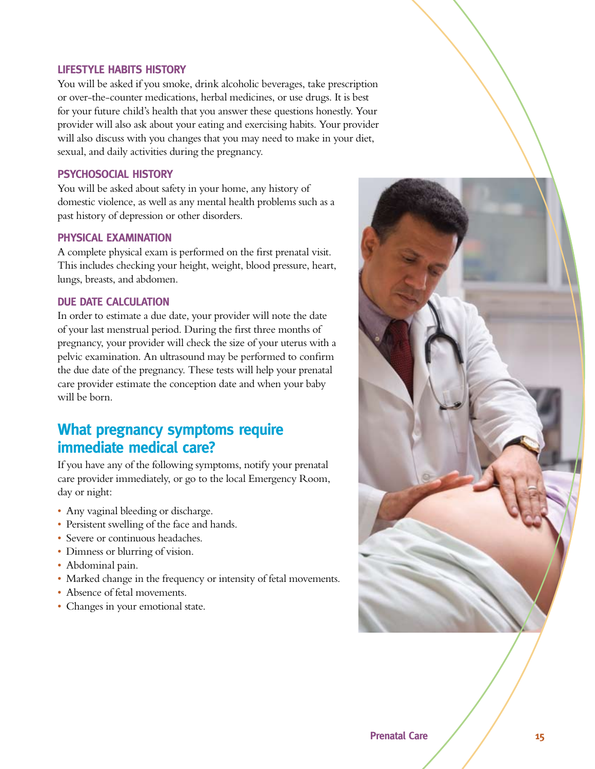#### **LIFESTYLE HABITS HISTORY**

You will be asked if you smoke, drink alcoholic beverages, take prescription or over-the-counter medications, herbal medicines, or use drugs. It is best for your future child's health that you answer these questions honestly. Your provider will also ask about your eating and exercising habits. Your provider will also discuss with you changes that you may need to make in your diet, sexual, and daily activities during the pregnancy.

#### **PSYCHOSOCIAL HISTORY**

You will be asked about safety in your home, any history of domestic violence, as well as any mental health problems such as a past history of depression or other disorders.

#### **PHYSICAL EXAMINATION**

A complete physical exam is performed on the first prenatal visit. This includes checking your height, weight, blood pressure, heart, lungs, breasts, and abdomen.

#### **DUE DATE CALCULATION**

In order to estimate a due date, your provider will note the date of your last menstrual period. During the first three months of pregnancy, your provider will check the size of your uterus with a pelvic examination. An ultrasound may be performed to confirm the due date of the pregnancy. These tests will help your prenatal care provider estimate the conception date and when your baby will be born.

#### **What pregnancy symptoms require immediate medical care?**

If you have any of the following symptoms, notify your prenatal care provider immediately, or go to the local Emergency Room, day or night:

- Any vaginal bleeding or discharge.
- Persistent swelling of the face and hands.
- Severe or continuous headaches.
- Dimness or blurring of vision.
- Abdominal pain.
- Marked change in the frequency or intensity of fetal movements.
- Absence of fetal movements.
- Changes in your emotional state.

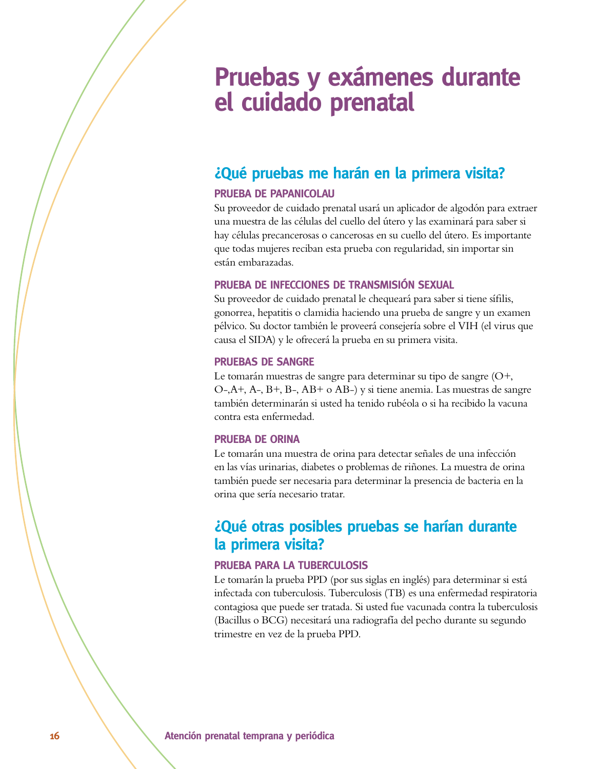## **Pruebas y exámenes durante el cuidado prenatal**

### *iQué pruebas me harán en la primera visita?*

#### **PRUEBA DE PAPANICOLAU**

Su proveedor de cuidado prenatal usará un aplicador de algodón para extraer una muestra de las células del cuello del útero y las examinará para saber si hay células precancerosas o cancerosas en su cuello del útero. Es importante que todas mujeres reciban esta prueba con regularidad, sin importar sin están embarazadas.

#### **PRUEBA DE INFECCIONES DE TRANSMISIÓN SEXUAL**

Su proveedor de cuidado prenatal le chequeará para saber si tiene sífilis, gonorrea, hepatitis o clamidia haciendo una prueba de sangre y un examen pélvico. Su doctor también le proveerá consejería sobre el VIH (el virus que causa el SIDA) y le ofrecerá la prueba en su primera visita.

#### **PRUEBAS DE SANGRE**

Le tomarán muestras de sangre para determinar su tipo de sangre  $(O^+,$ O-,A+, A-, B+, B-, AB+ o AB-) y si tiene anemia. Las muestras de sangre también determinarán si usted ha tenido rubéola o si ha recibido la vacuna contra esta enfermedad.

#### **PRUEBA DE ORINA**

Le tomarán una muestra de orina para detectar señales de una infección en las vías urinarias, diabetes o problemas de riñones. La muestra de orina también puede ser necesaria para determinar la presencia de bacteria en la orina que sería necesario tratar.

#### $\mathcal{L}$ Qué otras posibles pruebas se harían durante la primera visita?

#### **PRUEBA PARA LA TUBERCULOSIS**

Le tomarán la prueba PPD (por sus siglas en inglés) para determinar si está infectada con tuberculosis. Tuberculosis (TB) es una enfermedad respiratoria contagiosa que puede ser tratada. Si usted fue vacunada contra la tuberculosis (Bacillus o BCG) necesitará una radiografía del pecho durante su segundo trimestre en vez de la prueba PPD.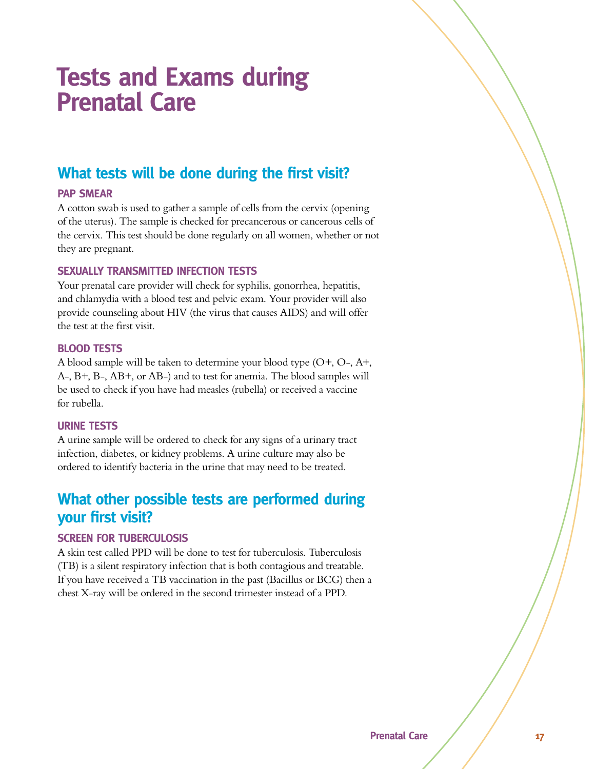## **Tests and Exams during Prenatal Care**

### **What tests will be done during the first visit?**

#### **PAP SMEAR**

A cotton swab is used to gather a sample of cells from the cervix (opening of the uterus). The sample is checked for precancerous or cancerous cells of the cervix. This test should be done regularly on all women, whether or not they are pregnant.

#### *SEXUALLY TRANSMITTED INFECTION TESTS*

Your prenatal care provider will check for syphilis, gonorrhea, hepatitis, and chlamydia with a blood test and pelvic exam. Your provider will also provide counseling about HIV (the virus that causes AIDS) and will offer the test at the first visit.

#### **BLOOD TESTS**

A blood sample will be taken to determine your blood type (O+, O-, A+, A-, B+, B-, AB+, or AB-) and to test for anemia. The blood samples will be used to check if you have had measles (rubella) or received a vaccine for rubella.

#### **URINE TESTS**

A urine sample will be ordered to check for any signs of a urinary tract infection, diabetes, or kidney problems. A urine culture may also be ordered to identify bacteria in the urine that may need to be treated.

### **What other possible tests are performed during your first visit?**

#### *SCREEN FOR TUBERCULOSIS*

A skin test called PPD will be done to test for tuberculosis. Tuberculosis (TB) is a silent respiratory infection that is both contagious and treatable. If you have received a TB vaccination in the past (Bacillus or BCG) then a chest X-ray will be ordered in the second trimester instead of a PPD.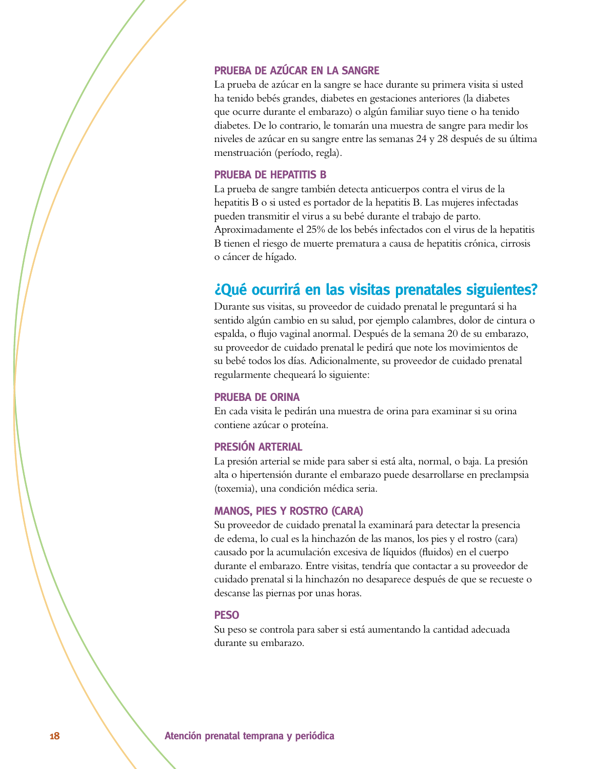#### **PRUEBA DE AZÚCAR EN LA SANGRE**

La prueba de azúcar en la sangre se hace durante su primera visita si usted ha tenido bebés grandes, diabetes en gestaciones anteriores (la diabetes que ocurre durante el embarazo) o algún familiar suyo tiene o ha tenido diabetes. De lo contrario, le tomarán una muestra de sangre para medir los niveles de azúcar en su sangre entre las semanas 24 y 28 después de su última menstruación (período, regla).

#### **PRUEBA DE HEPATITIS B**

La prueba de sangre también detecta anticuerpos contra el virus de la hepatitis B o si usted es portador de la hepatitis B. Las mujeres infectadas pueden transmitir el virus a su bebé durante el trabajo de parto. Aproximadamente el 25% de los bebés infectados con el virus de la hepatitis B tienen el riesgo de muerte prematura a causa de hepatitis crónica, cirrosis o cáncer de hígado.

#### $\lambda$ Qué ocurrirá en las visitas prenatales siguientes?

Durante sus visitas, su proveedor de cuidado prenatal le preguntará si ha sentido algún cambio en su salud, por ejemplo calambres, dolor de cintura o espalda, o flujo vaginal anormal. Después de la semana 20 de su embarazo, su proveedor de cuidado prenatal le pedirá que note los movimientos de su bebé todos los días. Adicionalmente, su proveedor de cuidado prenatal regularmente chequeará lo siguiente:

#### **PRUEBA DE ORINA**

En cada visita le pedirán una muestra de orina para examinar si su orina contiene azúcar o proteína.

#### **PRESIÓN ARTERIAL**

La presión arterial se mide para saber si está alta, normal, o baja. La presión alta o hipertensión durante el embarazo puede desarrollarse en preclampsia (toxemia), una condición médica seria.

#### **MANOS, PIES Y ROSTRO (CARA)**

Su proveedor de cuidado prenatal la examinará para detectar la presencia de edema, lo cual es la hinchazón de las manos, los pies y el rostro (cara) causado por la acumulación excesiva de líquidos (fluidos) en el cuerpo durante el embarazo. Entre visitas, tendría que contactar a su proveedor de cuidado prenatal si la hinchazón no desaparece después de que se recueste o descanse las piernas por unas horas.

#### **4)73**

Su peso se controla para saber si está aumentando la cantidad adecuada durante su embarazo.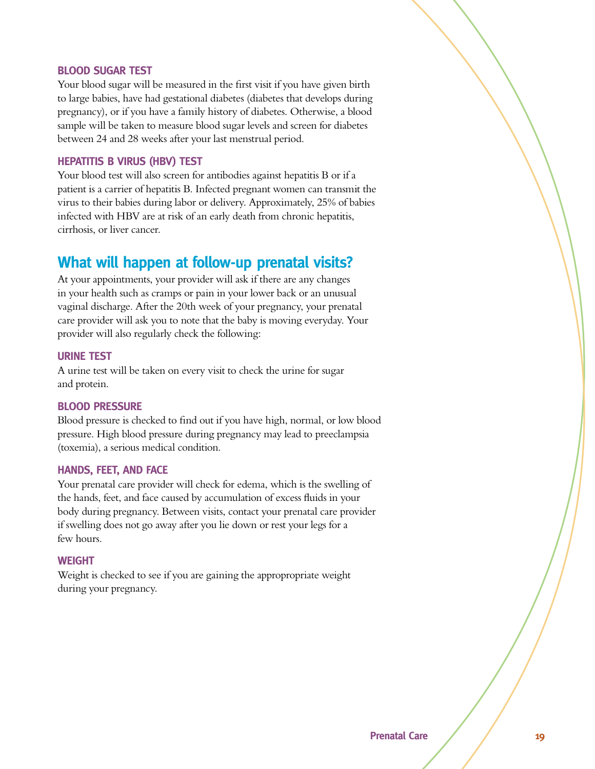#### **BLOOD SUGAR TEST**

Your blood sugar will be measured in the first visit if you have given birth to large babies, have had gestational diabetes (diabetes that develops during pregnancy), or if you have a family history of diabetes. Otherwise, a blood sample will be taken to measure blood sugar levels and screen for diabetes between 24 and 28 weeks after your last menstrual period.

#### **HEPATITIS B VIRUS (HBV) TEST**

Your blood test will also screen for antibodies against hepatitis B or if a patient is a carrier of hepatitis B. Infected pregnant women can transmit the virus to their babies during labor or delivery. Approximately, 25% of babies infected with HBV are at risk of an early death from chronic hepatitis, cirrhosis, or liver cancer.

#### **What will happen at follow-up prenatal visits?**

At your appointments, your provider will ask if there are any changes in your health such as cramps or pain in your lower back or an unusual vaginal discharge. After the 20th week of your pregnancy, your prenatal care provider will ask you to note that the baby is moving everyday. Your provider will also regularly check the following:

#### **URINE TEST**

A urine test will be taken on every visit to check the urine for sugar and protein.

#### **BLOOD PRESSURE**

Blood pressure is checked to find out if you have high, normal, or low blood pressure. High blood pressure during pregnancy may lead to preeclampsia (toxemia), a serious medical condition.

#### **HANDS, FEET, AND FACE**

Your prenatal care provider will check for edema, which is the swelling of the hands, feet, and face caused by accumulation of excess fluids in your body during pregnancy. Between visits, contact your prenatal care provider if swelling does not go away after you lie down or rest your legs for a few hours.

#### **WEIGHT**

Weight is checked to see if you are gaining the appropropriate weight during your pregnancy.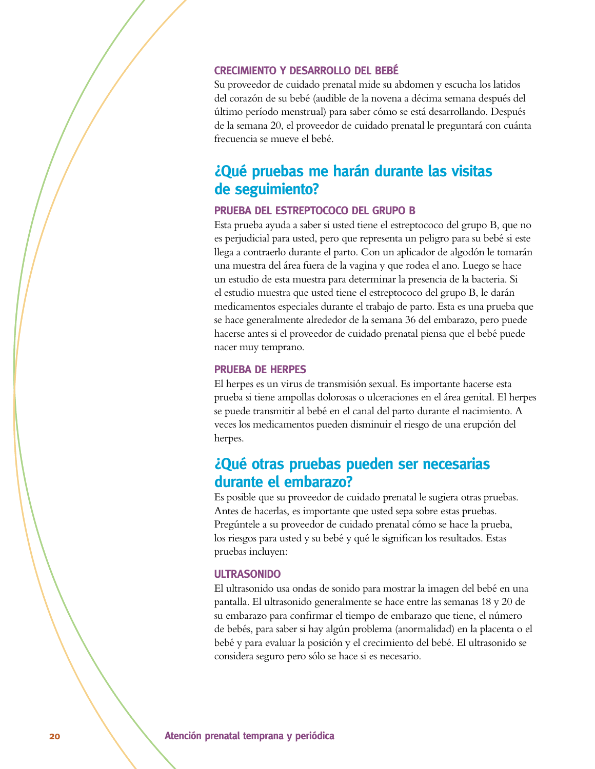#### **CRECIMIENTO Y DESARROLLO DEL BEBÉ**

Su proveedor de cuidado prenatal mide su abdomen y escucha los latidos del corazón de su bebé (audible de la novena a décima semana después del último período menstrual) para saber cómo se está desarrollando. Después de la semana 20, el proveedor de cuidado prenatal le preguntará con cuánta frecuencia se mueve el bebé.

#### $\mathcal{L}$ Qué pruebas me harán durante las visitas de seguimiento?

#### **PRUEBA DEL ESTREPTOCOCO DEL GRUPO B**

Esta prueba ayuda a saber si usted tiene el estreptococo del grupo B, que no es perjudicial para usted, pero que representa un peligro para su bebé si este llega a contraerlo durante el parto. Con un aplicador de algodón le tomarán una muestra del área fuera de la vagina y que rodea el ano. Luego se hace un estudio de esta muestra para determinar la presencia de la bacteria. Si el estudio muestra que usted tiene el estreptococo del grupo B, le darán medicamentos especiales durante el trabajo de parto. Esta es una prueba que se hace generalmente alrededor de la semana 36 del embarazo, pero puede hacerse antes si el proveedor de cuidado prenatal piensa que el bebé puede nacer muy temprano.

#### **PRUEBA DE HERPES**

El herpes es un virus de transmisión sexual. Es importante hacerse esta prueba si tiene ampollas dolorosas o ulceraciones en el área genital. El herpes se puede transmitir al bebé en el canal del parto durante el nacimiento. A veces los medicamentos pueden disminuir el riesgo de una erupción del herpes.

#### $i$ Qué otras pruebas pueden ser necesarias durante el embarazo?

Es posible que su proveedor de cuidado prenatal le sugiera otras pruebas. Antes de hacerlas, es importante que usted sepa sobre estas pruebas. Pregúntele a su proveedor de cuidado prenatal cómo se hace la prueba, los riesgos para usted y su bebé y qué le significan los resultados. Estas pruebas incluyen:

#### **ULTRASONIDO**

El ultrasonido usa ondas de sonido para mostrar la imagen del bebé en una pantalla. El ultrasonido generalmente se hace entre las semanas 18 y 20 de su embarazo para confirmar el tiempo de embarazo que tiene, el número de bebés, para saber si hay algún problema (anormalidad) en la placenta o el bebé y para evaluar la posición y el crecimiento del bebé. El ultrasonido se considera seguro pero sólo se hace si es necesario.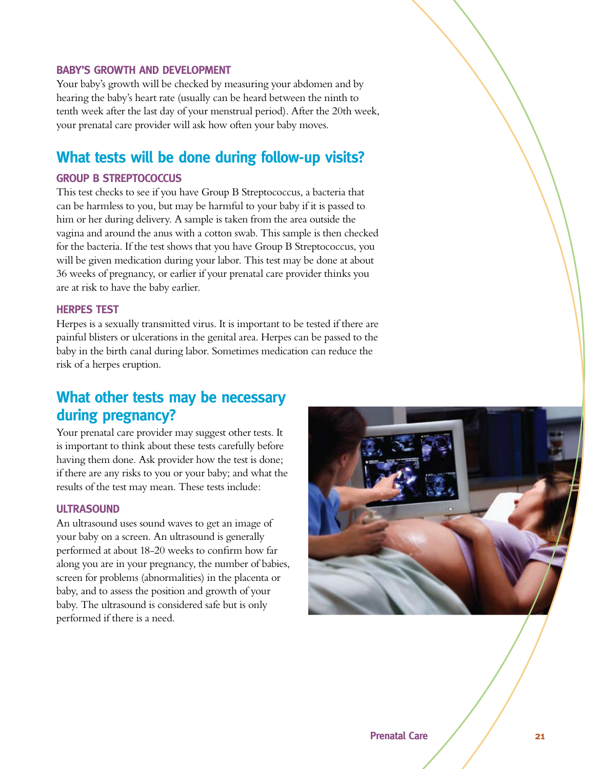#### **BABY'S GROWTH AND DEVELOPMENT**

Your baby's growth will be checked by measuring your abdomen and by hearing the baby's heart rate (usually can be heard between the ninth to tenth week after the last day of your menstrual period). After the 20th week, your prenatal care provider will ask how often your baby moves.

#### **What tests will be done during follow-up visits?**

#### **GROUP B STREPTOCOCCUS**

This test checks to see if you have Group B Streptococcus, a bacteria that can be harmless to you, but may be harmful to your baby if it is passed to him or her during delivery. A sample is taken from the area outside the vagina and around the anus with a cotton swab. This sample is then checked for the bacteria. If the test shows that you have Group B Streptococcus, you will be given medication during your labor. This test may be done at about 36 weeks of pregnancy, or earlier if your prenatal care provider thinks you are at risk to have the baby earlier.

#### **HERPES TEST**

Herpes is a sexually transmitted virus. It is important to be tested if there are painful blisters or ulcerations in the genital area. Herpes can be passed to the baby in the birth canal during labor. Sometimes medication can reduce the risk of a herpes eruption.

#### **What other tests may be necessary** during pregnancy?

Your prenatal care provider may suggest other tests. It is important to think about these tests carefully before having them done. Ask provider how the test is done; if there are any risks to you or your baby; and what the results of the test may mean. These tests include:

#### ULTRASOUND

An ultrasound uses sound waves to get an image of your baby on a screen. An ultrasound is generally performed at about 18-20 weeks to confirm how far along you are in your pregnancy, the number of babies, screen for problems (abnormalities) in the placenta or baby, and to assess the position and growth of your baby. The ultrasound is considered safe but is only performed if there is a need.

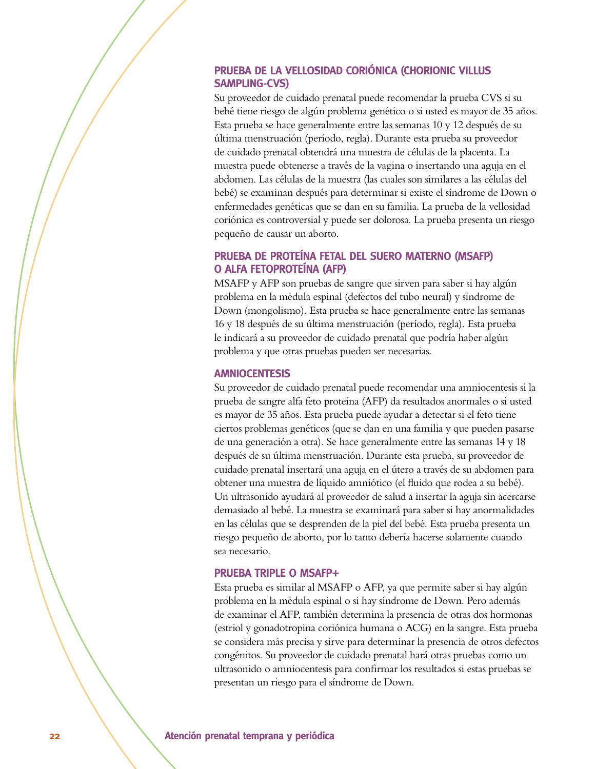#### **PRUEBA DE LA VELLOSIDAD CORIÓNICA (CHORIONIC VILLUS** SAMPLING-CVS)

Su proveedor de cuidado prenatal puede recomendar la prueba CVS si su bebé tiene riesgo de algún problema genético o si usted es mayor de 35 años. Esta prueba se hace generalmente entre las semanas 10 y 12 después de su última menstruación (período, regla). Durante esta prueba su proveedor de cuidado prenatal obtendrá una muestra de células de la placenta. La muestra puede obtenerse a través de la vagina o insertando una aguja en el abdomen. Las células de la muestra (las cuales son similares a las células del bebé) se examinan después para determinar si existe el síndrome de Down o enfermedades genéticas que se dan en su familia. La prueba de la vellosidad coriónica es controversial y puede ser dolorosa. La prueba presenta un riesgo pequeño de causar un aborto.

#### **PRUEBA DE PROTEÍNA FETAL DEL SUERO MATERNO (MSAFP) O ALFA FETOPROTEÍNA (AFP)**

MSAFP y AFP son pruebas de sangre que sirven para saber si hay algún problema en la médula espinal (defectos del tubo neural) y síndrome de Down (mongolismo). Esta prueba se hace generalmente entre las semanas 16 y 18 después de su última menstruación (período, regla). Esta prueba le indicará a su proveedor de cuidado prenatal que podría haber algún problema y que otras pruebas pueden ser necesarias.

#### **AMNIOCENTESIS**

Su proveedor de cuidado prenatal puede recomendar una amniocentesis si la prueba de sangre alfa feto proteína (AFP) da resultados anormales o si usted es mayor de 35 años. Esta prueba puede ayudar a detectar si el feto tiene ciertos problemas genéticos (que se dan en una familia y que pueden pasarse de una generación a otra). Se hace generalmente entre las semanas 14 y 18 después de su última menstruación. Durante esta prueba, su proveedor de cuidado prenatal insertará una aguja en el útero a través de su abdomen para obtener una muestra de líquido amniótico (el fluido que rodea a su bebé). Un ultrasonido ayudará al proveedor de salud a insertar la aguja sin acercarse demasiado al bebé. La muestra se examinará para saber si hay anormalidades en las células que se desprenden de la piel del bebé. Esta prueba presenta un riesgo pequeño de aborto, por lo tanto debería hacerse solamente cuando sea necesario.

#### **PRUEBA TRIPLE O MSAFP+**

Esta prueba es similar al MSAFP o AFP, ya que permite saber si hay algún problema en la médula espinal o si hay síndrome de Down. Pero además de examinar el AFP, también determina la presencia de otras dos hormonas (estriol y gonadotropina coriónica humana o ACG) en la sangre. Esta prueba se considera más precisa y sirve para determinar la presencia de otros defectos congénitos. Su proveedor de cuidado prenatal hará otras pruebas como un ultrasonido o amniocentesis para confirmar los resultados si estas pruebas se presentan un riesgo para el síndrome de Down.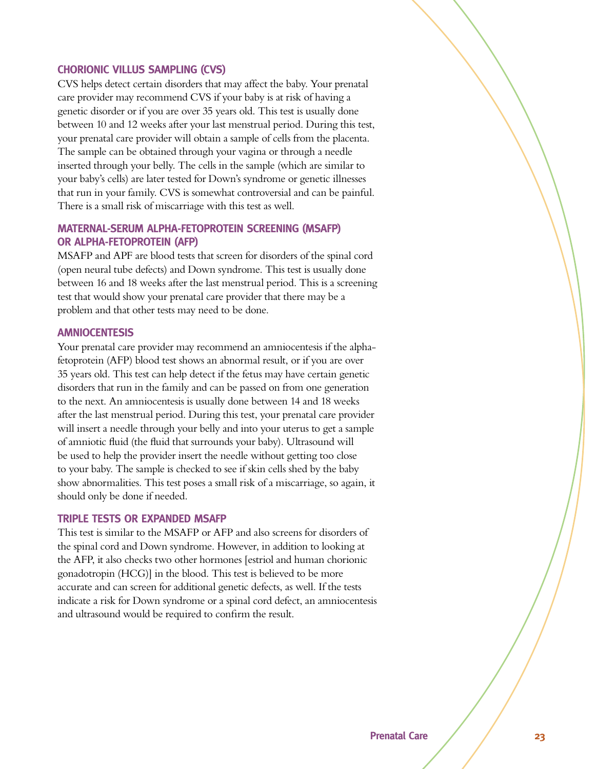#### **CHORIONIC VILLUS SAMPLING (CVS)**

CVS helps detect certain disorders that may affect the baby. Your prenatal care provider may recommend CVS if your baby is at risk of having a genetic disorder or if you are over 35 years old. This test is usually done between 10 and 12 weeks after your last menstrual period. During this test, your prenatal care provider will obtain a sample of cells from the placenta. The sample can be obtained through your vagina or through a needle inserted through your belly. The cells in the sample (which are similar to your baby's cells) are later tested for Down's syndrome or genetic illnesses that run in your family. CVS is somewhat controversial and can be painful. There is a small risk of miscarriage with this test as well.

#### **MATERNAL-SERUM ALPHA-FETOPROTEIN SCREENING (MSAFP) OR ALPHA-FETOPROTEIN (AFP)**

MSAFP and APF are blood tests that screen for disorders of the spinal cord (open neural tube defects) and Down syndrome. This test is usually done between 16 and 18 weeks after the last menstrual period. This is a screening test that would show your prenatal care provider that there may be a problem and that other tests may need to be done.

#### **AMNIOCENTESIS**

Your prenatal care provider may recommend an amniocentesis if the alphafetoprotein (AFP) blood test shows an abnormal result, or if you are over 35 years old. This test can help detect if the fetus may have certain genetic disorders that run in the family and can be passed on from one generation to the next. An amniocentesis is usually done between 14 and 18 weeks after the last menstrual period. During this test, your prenatal care provider will insert a needle through your belly and into your uterus to get a sample of amniotic fluid (the fluid that surrounds your baby). Ultrasound will be used to help the provider insert the needle without getting too close to your baby. The sample is checked to see if skin cells shed by the baby show abnormalities. This test poses a small risk of a miscarriage, so again, it should only be done if needed.

#### **TRIPLE TESTS OR EXPANDED MSAFP**

This test is similar to the MSAFP or AFP and also screens for disorders of the spinal cord and Down syndrome. However, in addition to looking at the AFP, it also checks two other hormones [estriol and human chorionic gonadotropin (HCG)] in the blood. This test is believed to be more accurate and can screen for additional genetic defects, as well. If the tests indicate a risk for Down syndrome or a spinal cord defect, an amniocentesis and ultrasound would be required to confirm the result.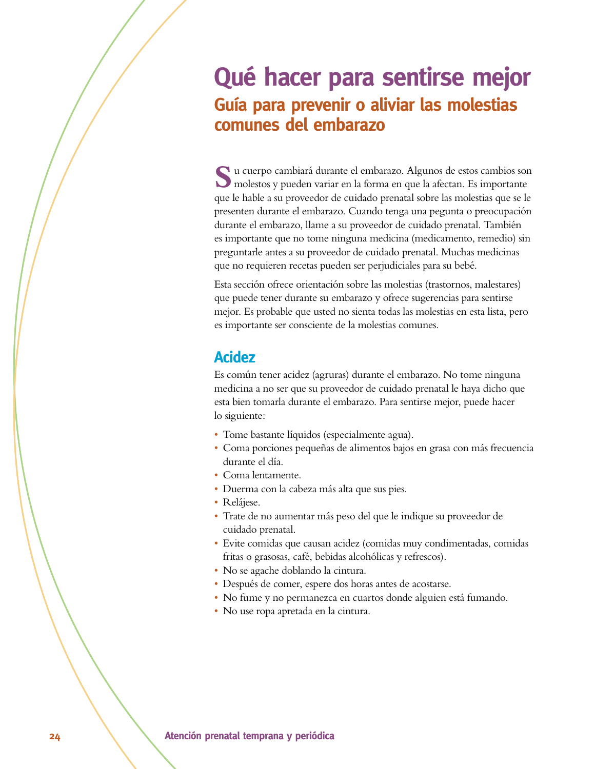## Qué hacer para sentirse mejor **Guía para prevenir o aliviar las molestias comunes del embarazo**

**S**u cuerpo cambiará durante el embarazo. Algunos de estos cambios son molestos y pueden variar en la forma en que la afectan. Es importante que le hable a su proveedor de cuidado prenatal sobre las molestias que se le presenten durante el embarazo. Cuando tenga una pegunta o preocupación durante el embarazo, llame a su proveedor de cuidado prenatal. También es importante que no tome ninguna medicina (medicamento, remedio) sin preguntarle antes a su proveedor de cuidado prenatal. Muchas medicinas que no requieren recetas pueden ser perjudiciales para su bebé.

Esta sección ofrece orientación sobre las molestias (trastornos, malestares) que puede tener durante su embarazo y ofrece sugerencias para sentirse mejor. Es probable que usted no sienta todas las molestias en esta lista, pero es importante ser consciente de la molestias comunes.

### **Acidez**

Es común tener acidez (agruras) durante el embarazo. No tome ninguna medicina a no ser que su proveedor de cuidado prenatal le haya dicho que esta bien tomarla durante el embarazo. Para sentirse mejor, puede hacer lo siguiente:

- s Tome bastante líquidos (especialmente agua).
- s Coma porciones pequeñas de alimentos bajos en grasa con más frecuencia durante el día.
- Coma lentamente.
- s Duerma con la cabeza más alta que sus pies.
- Relájese.
- s Trate de no aumentar más peso del que le indique su proveedor de cuidado prenatal.
- s Evite comidas que causan acidez (comidas muy condimentadas, comidas fritas o grasosas, café, bebidas alcohólicas y refrescos).
- No se agache doblando la cintura.
- · Después de comer, espere dos horas antes de acostarse.
- s No fume y no permanezca en cuartos donde alguien está fumando.
- s No use ropa apretada en la cintura.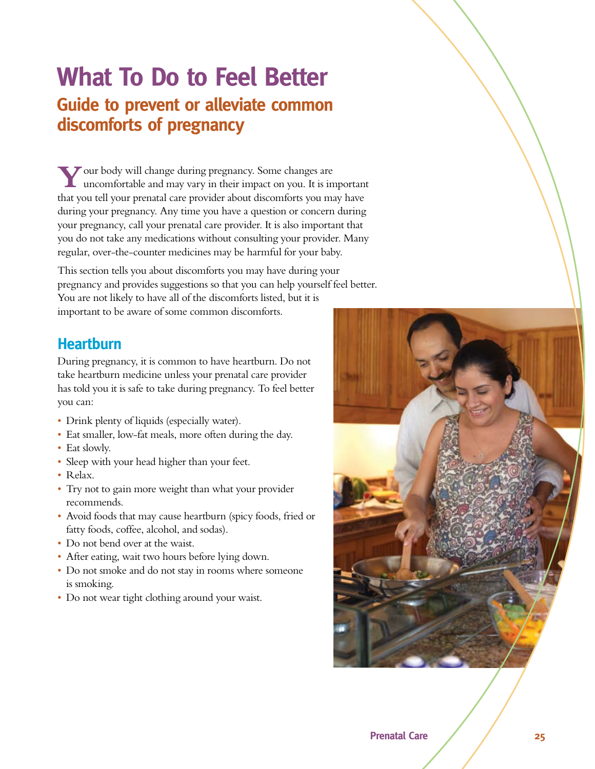## **What To Do to Feel Better Guide to prevent or alleviate common** discomforts of pregnancy

**Y**our body will change during pregnancy. Some changes are uncomfortable and may vary in their impact on you. It is important that you tell your prenatal care provider about discomforts you may have during your pregnancy. Any time you have a question or concern during your pregnancy, call your prenatal care provider. It is also important that you do not take any medications without consulting your provider. Many regular, over-the-counter medicines may be harmful for your baby.

This section tells you about discomforts you may have during your pregnancy and provides suggestions so that you can help yourself feel better. You are not likely to have all of the discomforts listed, but it is important to be aware of some common discomforts.

### **Heartburn**

During pregnancy, it is common to have heartburn. Do not take heartburn medicine unless your prenatal care provider has told you it is safe to take during pregnancy. To feel better you can:

- Drink plenty of liquids (especially water).
- Eat smaller, low-fat meals, more often during the day.
- Eat slowly.
- Sleep with your head higher than your feet.
- Relax.
- Try not to gain more weight than what your provider recommends.
- Avoid foods that may cause heartburn (spicy foods, fried or fatty foods, coffee, alcohol, and sodas).
- Do not bend over at the waist.
- After eating, wait two hours before lying down.
- Do not smoke and do not stay in rooms where someone is smoking.
- Do not wear tight clothing around your waist.

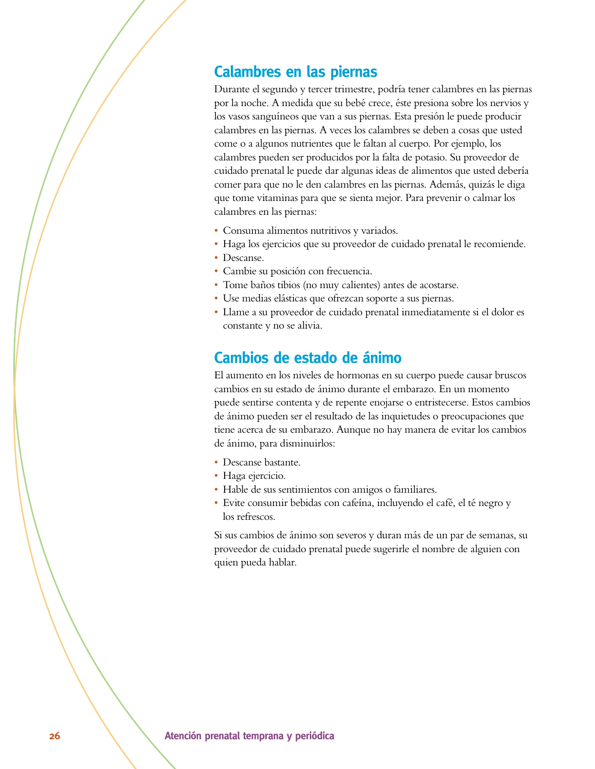#### **Calambres en las piernas**

Durante el segundo y tercer trimestre, podría tener calambres en las piernas por la noche. A medida que su bebé crece, éste presiona sobre los nervios y los vasos sanguíneos que van a sus piernas. Esta presión le puede producir calambres en las piernas. A veces los calambres se deben a cosas que usted come o a algunos nutrientes que le faltan al cuerpo. Por ejemplo, los calambres pueden ser producidos por la falta de potasio. Su proveedor de cuidado prenatal le puede dar algunas ideas de alimentos que usted debería comer para que no le den calambres en las piernas. Además, quizás le diga que tome vitaminas para que se sienta mejor. Para prevenir o calmar los calambres en las piernas:

- s Consuma alimentos nutritivos y variados.
- s Haga los ejercicios que su proveedor de cuidado prenatal le recomiende.
- Descanse.
- s Cambie su posición con frecuencia.
- s Tome baños tibios (no muy calientes) antes de acostarse.
- s Use medias elásticas que ofrezcan soporte a sus piernas.
- s Llame a su proveedor de cuidado prenatal inmediatamente si el dolor es constante y no se alivia.

#### Cambios de estado de ánimo

El aumento en los niveles de hormonas en su cuerpo puede causar bruscos cambios en su estado de ánimo durante el embarazo. En un momento puede sentirse contenta y de repente enojarse o entristecerse. Estos cambios de ánimo pueden ser el resultado de las inquietudes o preocupaciones que tiene acerca de su embarazo. Aunque no hay manera de evitar los cambios de ánimo, para disminuirlos:

- Descanse bastante.
- Haga ejercicio.
- Hable de sus sentimientos con amigos o familiares.
- s Evite consumir bebidas con cafeína, incluyendo el café, el té negro y los refrescos.

Si sus cambios de ánimo son severos y duran más de un par de semanas, su proveedor de cuidado prenatal puede sugerirle el nombre de alguien con quien pueda hablar.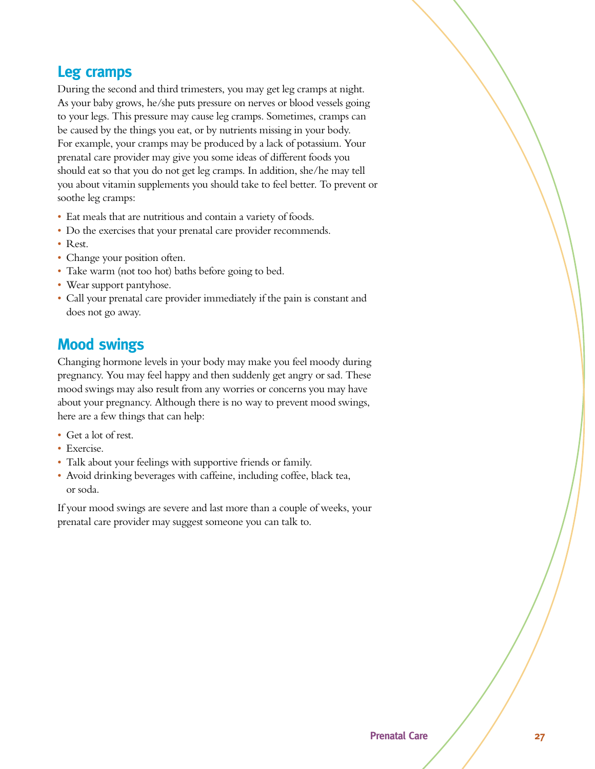#### **Leg cramps**

During the second and third trimesters, you may get leg cramps at night. As your baby grows, he/she puts pressure on nerves or blood vessels going to your legs. This pressure may cause leg cramps. Sometimes, cramps can be caused by the things you eat, or by nutrients missing in your body. For example, your cramps may be produced by a lack of potassium. Your prenatal care provider may give you some ideas of different foods you should eat so that you do not get leg cramps. In addition, she/he may tell you about vitamin supplements you should take to feel better. To prevent or soothe leg cramps:

- Eat meals that are nutritious and contain a variety of foods.
- Do the exercises that your prenatal care provider recommends.
- Rest.
- Change your position often.
- Take warm (not too hot) baths before going to bed.
- Wear support pantyhose.
- Call your prenatal care provider immediately if the pain is constant and does not go away.

#### **Mood swings**

Changing hormone levels in your body may make you feel moody during pregnancy. You may feel happy and then suddenly get angry or sad. These mood swings may also result from any worries or concerns you may have about your pregnancy. Although there is no way to prevent mood swings, here are a few things that can help:

- Get a lot of rest.
- Exercise.
- Talk about your feelings with supportive friends or family.
- Avoid drinking beverages with caffeine, including coffee, black tea, or soda.

If your mood swings are severe and last more than a couple of weeks, your prenatal care provider may suggest someone you can talk to.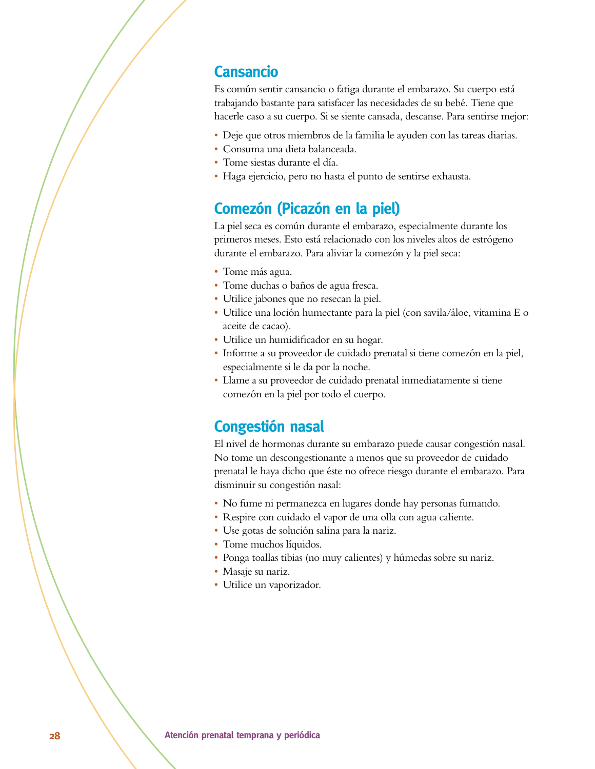#### **Cansancio**

Es común sentir cansancio o fatiga durante el embarazo. Su cuerpo está trabajando bastante para satisfacer las necesidades de su bebé. Tiene que hacerle caso a su cuerpo. Si se siente cansada, descanse. Para sentirse mejor:

- s Deje que otros miembros de la familia le ayuden con las tareas diarias.
- s Consuma una dieta balanceada.
- Tome siestas durante el día.
- s Haga ejercicio, pero no hasta el punto de sentirse exhausta.

### **Comezón (Picazón en la piel)**

La piel seca es común durante el embarazo, especialmente durante los primeros meses. Esto está relacionado con los niveles altos de estrógeno durante el embarazo. Para aliviar la comezón y la piel seca:

- Tome más agua.
- Tome duchas o baños de agua fresca.
- Utilice jabones que no resecan la piel.
- s Utilice una loción humectante para la piel (con savila/áloe, vitamina E o aceite de cacao).
- Utilice un humidificador en su hogar.
- s Informe a su proveedor de cuidado prenatal si tiene comezón en la piel, especialmente si le da por la noche.
- s Llame a su proveedor de cuidado prenatal inmediatamente si tiene comezón en la piel por todo el cuerpo.

#### **Congestión nasal**

El nivel de hormonas durante su embarazo puede causar congestión nasal. No tome un descongestionante a menos que su proveedor de cuidado prenatal le haya dicho que éste no ofrece riesgo durante el embarazo. Para disminuir su congestión nasal:

- No fume ni permanezca en lugares donde hay personas fumando.
- s Respire con cuidado el vapor de una olla con agua caliente.
- s Use gotas de solución salina para la nariz.
- Tome muchos líquidos.
- Ponga toallas tibias (no muy calientes) y húmedas sobre su nariz.
- Masaje su nariz.
- Utilice un vaporizador.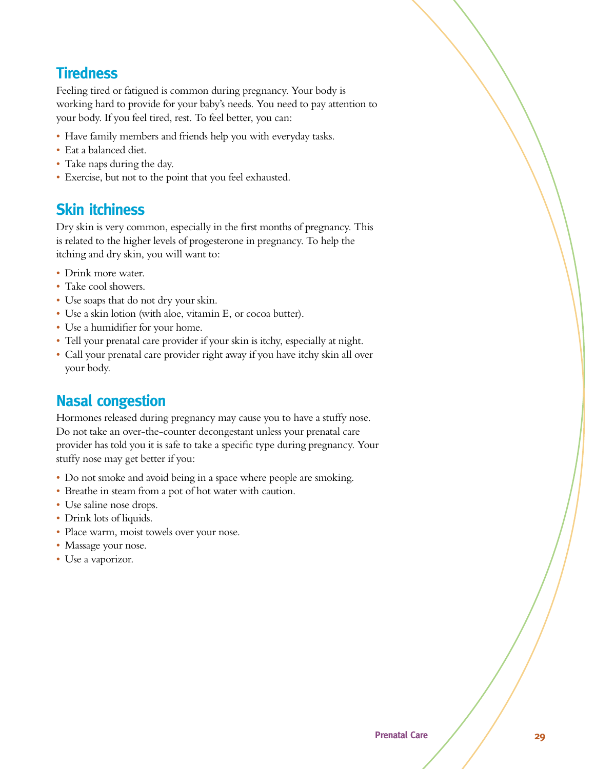### **Tiredness**

Feeling tired or fatigued is common during pregnancy. Your body is working hard to provide for your baby's needs. You need to pay attention to your body. If you feel tired, rest. To feel better, you can:

- Have family members and friends help you with everyday tasks.
- Eat a balanced diet.
- Take naps during the day.
- s Exercise, but not to the point that you feel exhausted.

### *<u>Skin itchiness</u>*

Dry skin is very common, especially in the first months of pregnancy. This is related to the higher levels of progesterone in pregnancy. To help the itching and dry skin, you will want to:

- Drink more water.
- Take cool showers.
- Use soaps that do not dry your skin.
- Use a skin lotion (with aloe, vitamin E, or cocoa butter).
- Use a humidifier for your home.
- Tell your prenatal care provider if your skin is itchy, especially at night.
- Call your prenatal care provider right away if you have itchy skin all over your body.

### **Nasal congestion**

Hormones released during pregnancy may cause you to have a stuffy nose. Do not take an over-the-counter decongestant unless your prenatal care provider has told you it is safe to take a specific type during pregnancy. Your stuffy nose may get better if you:

- Do not smoke and avoid being in a space where people are smoking.
- Breathe in steam from a pot of hot water with caution.
- Use saline nose drops.
- Drink lots of liquids.
- Place warm, moist towels over your nose.
- Massage your nose.
- Use a vaporizor.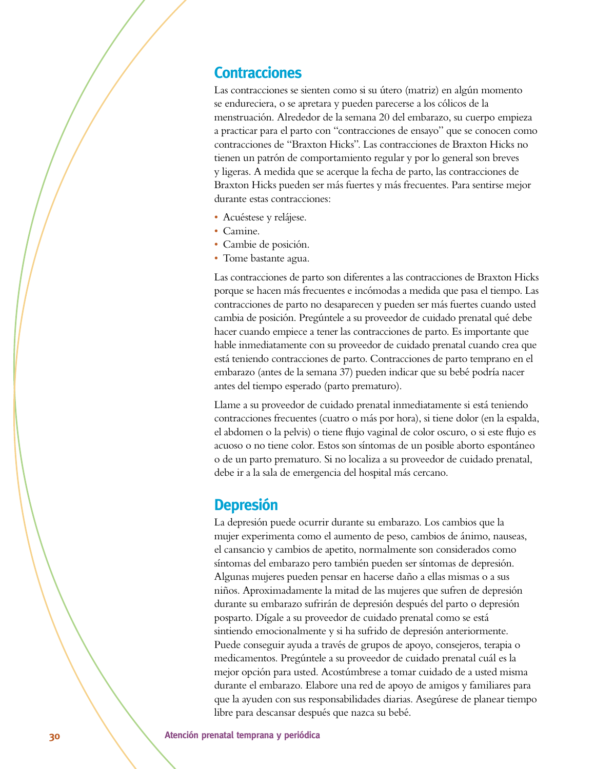#### **Contracciones**

Las contracciones se sienten como si su útero (matriz) en algún momento se endureciera, o se apretara y pueden parecerse a los cólicos de la menstruación. Alrededor de la semana 20 del embarazo, su cuerpo empieza a practicar para el parto con "contracciones de ensayo" que se conocen como contracciones de "Braxton Hicks". Las contracciones de Braxton Hicks no tienen un patrón de comportamiento regular y por lo general son breves y ligeras. A medida que se acerque la fecha de parto, las contracciones de Braxton Hicks pueden ser más fuertes y más frecuentes. Para sentirse mejor durante estas contracciones:

- · Acuéstese y relájese.
- Camine.
- s Cambie de posición.
- Tome bastante agua.

Las contracciones de parto son diferentes a las contracciones de Braxton Hicks porque se hacen más frecuentes e incómodas a medida que pasa el tiempo. Las contracciones de parto no desaparecen y pueden ser más fuertes cuando usted cambia de posición. Pregúntele a su proveedor de cuidado prenatal qué debe hacer cuando empiece a tener las contracciones de parto. Es importante que hable inmediatamente con su proveedor de cuidado prenatal cuando crea que está teniendo contracciones de parto. Contracciones de parto temprano en el embarazo (antes de la semana 37) pueden indicar que su bebé podría nacer antes del tiempo esperado (parto prematuro).

Llame a su proveedor de cuidado prenatal inmediatamente si está teniendo contracciones frecuentes (cuatro o más por hora), si tiene dolor (en la espalda, el abdomen o la pelvis) o tiene flujo vaginal de color oscuro, o si este flujo es acuoso o no tiene color. Estos son síntomas de un posible aborto espontáneo o de un parto prematuro. Si no localiza a su proveedor de cuidado prenatal, debe ir a la sala de emergencia del hospital más cercano.

#### **Depresión**

La depresión puede ocurrir durante su embarazo. Los cambios que la mujer experimenta como el aumento de peso, cambios de ánimo, nauseas, el cansancio y cambios de apetito, normalmente son considerados como síntomas del embarazo pero también pueden ser síntomas de depresión. Algunas mujeres pueden pensar en hacerse daño a ellas mismas o a sus niños. Aproximadamente la mitad de las mujeres que sufren de depresión durante su embarazo sufrirán de depresión después del parto o depresión posparto. Dígale a su proveedor de cuidado prenatal como se está sintiendo emocionalmente y si ha sufrido de depresión anteriormente. Puede conseguir ayuda a través de grupos de apoyo, consejeros, terapia o medicamentos. Pregúntele a su proveedor de cuidado prenatal cuál es la mejor opción para usted. Acostúmbrese a tomar cuidado de a usted misma durante el embarazo. Elabore una red de apoyo de amigos y familiares para que la ayuden con sus responsabilidades diarias. Asegúrese de planear tiempo libre para descansar después que nazca su bebé.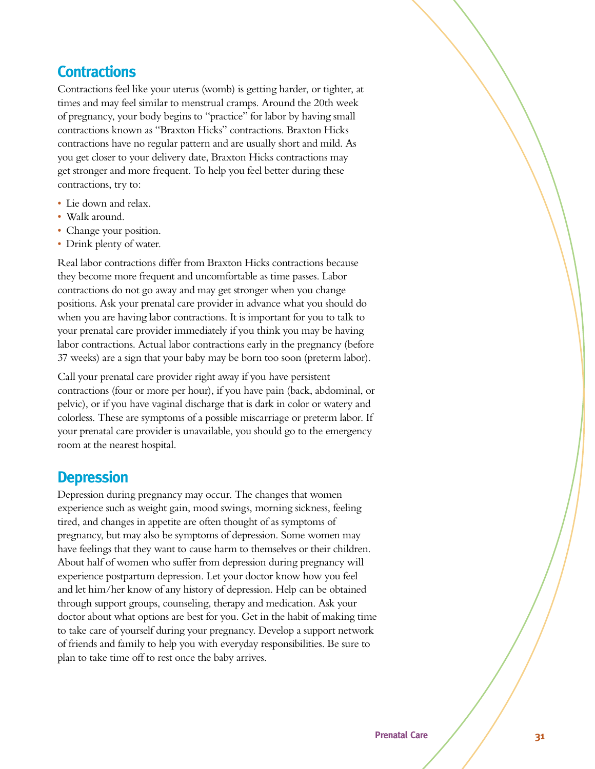### **Contractions**

Contractions feel like your uterus (womb) is getting harder, or tighter, at times and may feel similar to menstrual cramps. Around the 20th week of pregnancy, your body begins to "practice" for labor by having small contractions known as "Braxton Hicks" contractions. Braxton Hicks contractions have no regular pattern and are usually short and mild. As you get closer to your delivery date, Braxton Hicks contractions may get stronger and more frequent. To help you feel better during these contractions, try to:

- Lie down and relax.
- Walk around.
- Change your position.
- Drink plenty of water.

Real labor contractions differ from Braxton Hicks contractions because they become more frequent and uncomfortable as time passes. Labor contractions do not go away and may get stronger when you change positions. Ask your prenatal care provider in advance what you should do when you are having labor contractions. It is important for you to talk to your prenatal care provider immediately if you think you may be having labor contractions. Actual labor contractions early in the pregnancy (before 37 weeks) are a sign that your baby may be born too soon (preterm labor).

Call your prenatal care provider right away if you have persistent contractions (four or more per hour), if you have pain (back, abdominal, or pelvic), or if you have vaginal discharge that is dark in color or watery and colorless. These are symptoms of a possible miscarriage or preterm labor. If your prenatal care provider is unavailable, you should go to the emergency room at the nearest hospital.

#### **Depression**

Depression during pregnancy may occur. The changes that women experience such as weight gain, mood swings, morning sickness, feeling tired, and changes in appetite are often thought of as symptoms of pregnancy, but may also be symptoms of depression. Some women may have feelings that they want to cause harm to themselves or their children. About half of women who suffer from depression during pregnancy will experience postpartum depression. Let your doctor know how you feel and let him/her know of any history of depression. Help can be obtained through support groups, counseling, therapy and medication. Ask your doctor about what options are best for you. Get in the habit of making time to take care of yourself during your pregnancy. Develop a support network of friends and family to help you with everyday responsibilities. Be sure to plan to take time off to rest once the baby arrives.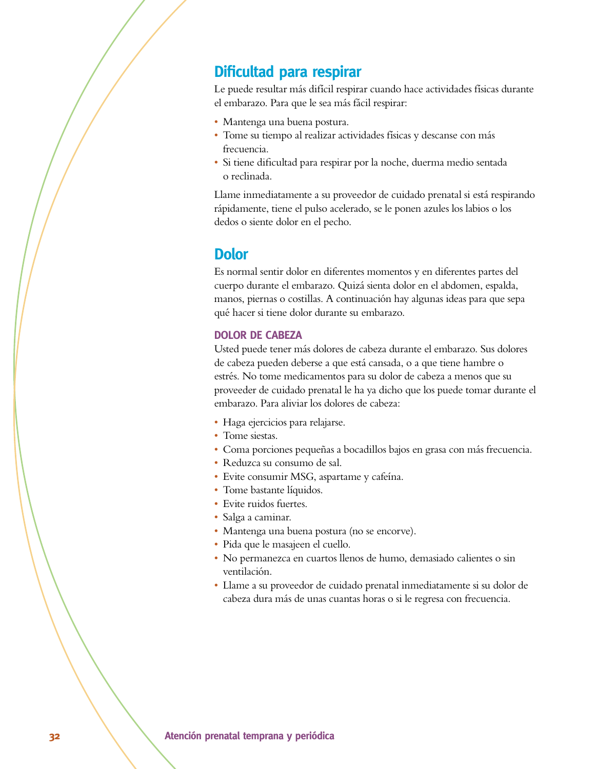#### **Dificultad para respirar**

Le puede resultar más difícil respirar cuando hace actividades físicas durante el embarazo. Para que le sea más fácil respirar:

- Mantenga una buena postura.
- s Tome su tiempo al realizar actividades físicas y descanse con más frecuencia.
- · Si tiene dificultad para respirar por la noche, duerma medio sentada o reclinada.

Llame inmediatamente a su proveedor de cuidado prenatal si está respirando rápidamente, tiene el pulso acelerado, se le ponen azules los labios o los dedos o siente dolor en el pecho.

#### Dolor

Es normal sentir dolor en diferentes momentos y en diferentes partes del cuerpo durante el embarazo. Quizá sienta dolor en el abdomen, espalda, manos, piernas o costillas. A continuación hay algunas ideas para que sepa qué hacer si tiene dolor durante su embarazo.

#### **DOLOR DE CABEZA**

Usted puede tener más dolores de cabeza durante el embarazo. Sus dolores de cabeza pueden deberse a que está cansada, o a que tiene hambre o estrés. No tome medicamentos para su dolor de cabeza a menos que su proveeder de cuidado prenatal le ha ya dicho que los puede tomar durante el embarazo. Para aliviar los dolores de cabeza:

- Haga ejercicios para relajarse.
- Tome siestas.
- s Coma porciones pequeñas a bocadillos bajos en grasa con más frecuencia.
- s Reduzca su consumo de sal.
- Evite consumir MSG, aspartame y cafeína.
- Tome bastante líquidos.
- Evite ruidos fuertes.
- Salga a caminar.
- Mantenga una buena postura (no se encorve).
- s Pida que le masajeen el cuello.
- s No permanezca en cuartos llenos de humo, demasiado calientes o sin ventilación.
- s Llame a su proveedor de cuidado prenatal inmediatamente si su dolor de cabeza dura más de unas cuantas horas o si le regresa con frecuencia.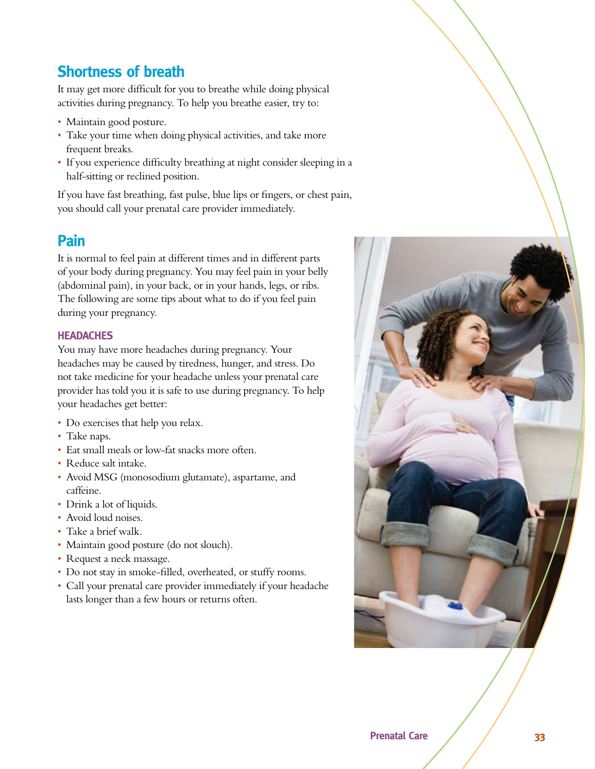### **Shortness of breath**

It may get more difficult for you to breathe while doing physical activities during pregnancy. To help you breathe easier, try to:

- Maintain good posture.
- Take your time when doing physical activities, and take more frequent breaks.
- s If you experience difficulty breathing at night consider sleeping in a half-sitting or reclined position.

If you have fast breathing, fast pulse, blue lips or fingers, or chest pain, you should call your prenatal care provider immediately.

### **Pain**

It is normal to feel pain at different times and in different parts of your body during pregnancy. You may feel pain in your belly (abdominal pain), in your back, or in your hands, legs, or ribs. The following are some tips about what to do if you feel pain during your pregnancy.

#### **HEADACHES**

You may have more headaches during pregnancy. Your headaches may be caused by tiredness, hunger, and stress. Do not take medicine for your headache unless your prenatal care provider has told you it is safe to use during pregnancy. To help your headaches get better:

- Do exercises that help you relax.
- Take naps.
- Eat small meals or low-fat snacks more often.
- Reduce salt intake.
- Avoid MSG (monosodium glutamate), aspartame, and caffeine.
- Drink a lot of liquids.
- Avoid loud noises.
- Take a brief walk.
- Maintain good posture (do not slouch).
- Request a neck massage.
- Do not stay in smoke-filled, overheated, or stuffy rooms.
- Call your prenatal care provider immediately if your headache lasts longer than a few hours or returns often.

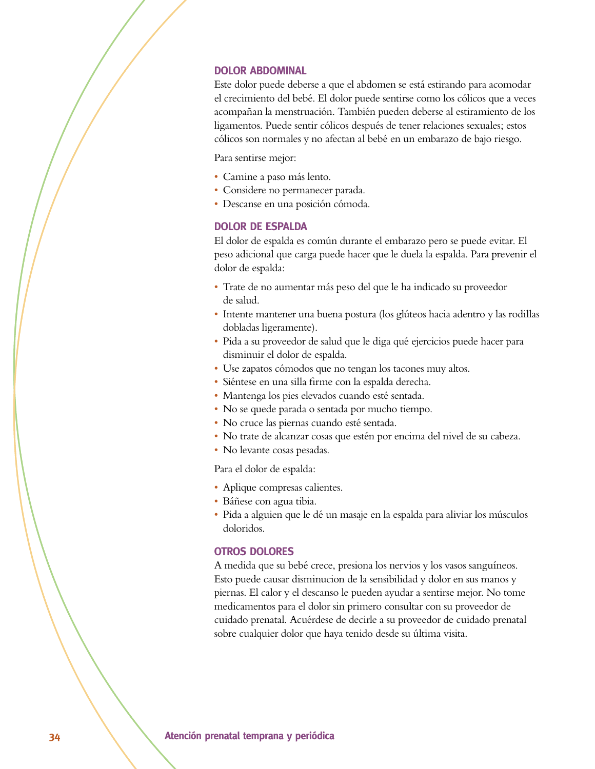#### **DOLOR ABDOMINAL**

Este dolor puede deberse a que el abdomen se está estirando para acomodar el crecimiento del bebé. El dolor puede sentirse como los cólicos que a veces acompañan la menstruación. También pueden deberse al estiramiento de los ligamentos. Puede sentir cólicos después de tener relaciones sexuales; estos cólicos son normales y no afectan al bebé en un embarazo de bajo riesgo.

Para sentirse mejor:

- s Camine a paso más lento.
- Considere no permanecer parada.
- s Descanse en una posición cómoda.

#### **DOLOR DE ESPALDA**

El dolor de espalda es común durante el embarazo pero se puede evitar. El peso adicional que carga puede hacer que le duela la espalda. Para prevenir el dolor de espalda:

- s Trate de no aumentar más peso del que le ha indicado su proveedor de salud.
- s Intente mantener una buena postura (los glúteos hacia adentro y las rodillas dobladas ligeramente).
- s Pida a su proveedor de salud que le diga qué ejercicios puede hacer para disminuir el dolor de espalda.
- Use zapatos cómodos que no tengan los tacones muy altos.
- s Siéntese en una silla firme con la espalda derecha.
- · Mantenga los pies elevados cuando esté sentada.
- No se quede parada o sentada por mucho tiempo.
- s No cruce las piernas cuando esté sentada.
- No trate de alcanzar cosas que estén por encima del nivel de su cabeza.
- No levante cosas pesadas.

Para el dolor de espalda:

- Aplique compresas calientes.
- · Báñese con agua tibia.
- s Pida a alguien que le dé un masaje en la espalda para aliviar los músculos doloridos.

#### **OTROS DOLORES**

A medida que su bebé crece, presiona los nervios y los vasos sanguíneos. Esto puede causar disminucion de la sensibilidad y dolor en sus manos y piernas. El calor y el descanso le pueden ayudar a sentirse mejor. No tome medicamentos para el dolor sin primero consultar con su proveedor de cuidado prenatal. Acuérdese de decirle a su proveedor de cuidado prenatal sobre cualquier dolor que haya tenido desde su última visita.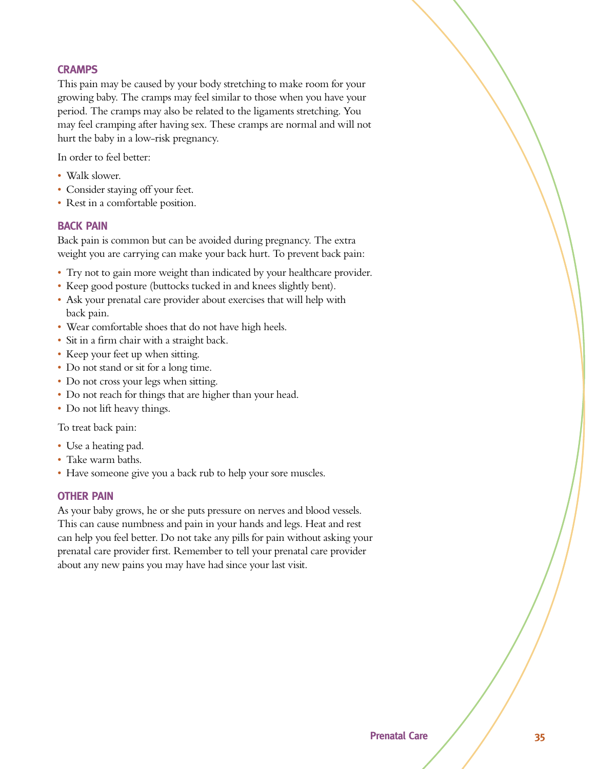#### **CRAMPS**

This pain may be caused by your body stretching to make room for your growing baby. The cramps may feel similar to those when you have your period. The cramps may also be related to the ligaments stretching. You may feel cramping after having sex. These cramps are normal and will not hurt the baby in a low-risk pregnancy.

In order to feel better:

- Walk slower.
- Consider staying off your feet.
- Rest in a comfortable position.

#### **BACK PAIN**

Back pain is common but can be avoided during pregnancy. The extra weight you are carrying can make your back hurt. To prevent back pain:

- s Try not to gain more weight than indicated by your healthcare provider.
- Keep good posture (buttocks tucked in and knees slightly bent).
- Ask your prenatal care provider about exercises that will help with back pain.
- Wear comfortable shoes that do not have high heels.
- Sit in a firm chair with a straight back.
- Keep your feet up when sitting.
- Do not stand or sit for a long time.
- Do not cross your legs when sitting.
- Do not reach for things that are higher than your head.
- Do not lift heavy things.

To treat back pain:

- Use a heating pad.
- Take warm baths.
- Have someone give you a back rub to help your sore muscles.

#### **OTHER PAIN**

As your baby grows, he or she puts pressure on nerves and blood vessels. This can cause numbness and pain in your hands and legs. Heat and rest can help you feel better. Do not take any pills for pain without asking your prenatal care provider first. Remember to tell your prenatal care provider about any new pains you may have had since your last visit.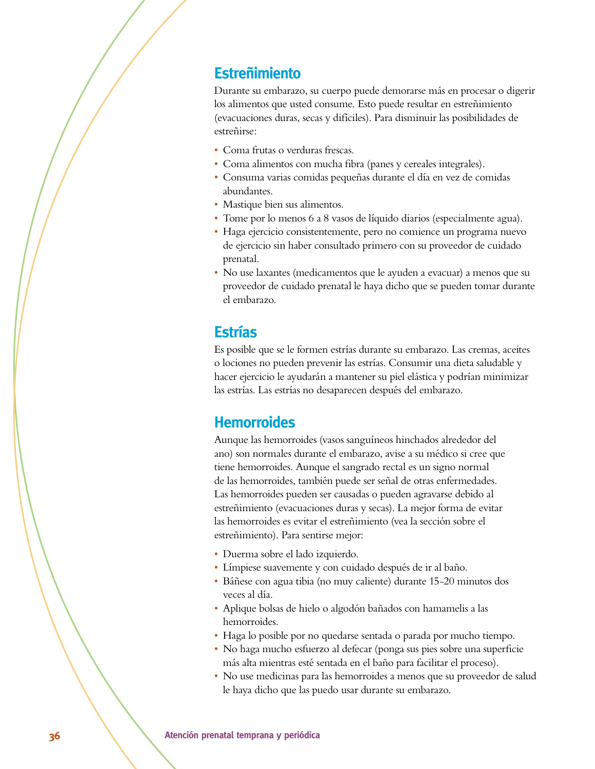#### **Estreñimiento**

Durante su embarazo, su cuerpo puede demorarse más en procesar o digerir los alimentos que usted consume. Esto puede resultar en estreñimiento (evacuaciones duras, secas y difíciles). Para disminuir las posibilidades de estreñirse:

- Coma frutas o verduras frescas.
- s Coma alimentos con mucha fibra (panes y cereales integrales).
- s Consuma varias comidas pequeñas durante el día en vez de comidas abundantes.
- Mastique bien sus alimentos.
- s Tome por lo menos 6 a 8 vasos de líquido diarios (especialmente agua).
- · Haga ejercicio consistentemente, pero no comience un programa nuevo de ejercicio sin haber consultado primero con su proveedor de cuidado prenatal.
- s No use laxantes (medicamentos que le ayuden a evacuar) a menos que su proveedor de cuidado prenatal le haya dicho que se pueden tomar durante el embarazo.

#### **Estrías**

Es posible que se le formen estrías durante su embarazo. Las cremas, aceites o lociones no pueden prevenir las estrías. Consumir una dieta saludable y hacer ejercicio le ayudarán a mantener su piel elástica y podrían minimizar las estrías. Las estrías no desaparecen después del embarazo.

#### **Hemorroides**

Aunque las hemorroides (vasos sanguíneos hinchados alrededor del ano) son normales durante el embarazo, avise a su médico si cree que tiene hemorroides. Aunque el sangrado rectal es un signo normal de las hemorroides, también puede ser señal de otras enfermedades. Las hemorroides pueden ser causadas o pueden agravarse debido al estreñimiento (evacuaciones duras y secas). La mejor forma de evitar las hemorroides es evitar el estreñimiento (vea la sección sobre el estreñimiento). Para sentirse mejor:

- s Duerma sobre el lado izquierdo.
- s Límpiese suavemente y con cuidado después de ir al baño.
- s Báñese con agua tibia (no muy caliente) durante 15-20 minutos dos veces al día.
- s Aplique bolsas de hielo o algodón bañados con hamamelis a las hemorroides.
- Haga lo posible por no quedarse sentada o parada por mucho tiempo.
- No haga mucho esfuerzo al defecar (ponga sus pies sobre una superficie más alta mientras esté sentada en el baño para facilitar el proceso).
- No use medicinas para las hemorroides a menos que su proveedor de salud le haya dicho que las puedo usar durante su embarazo.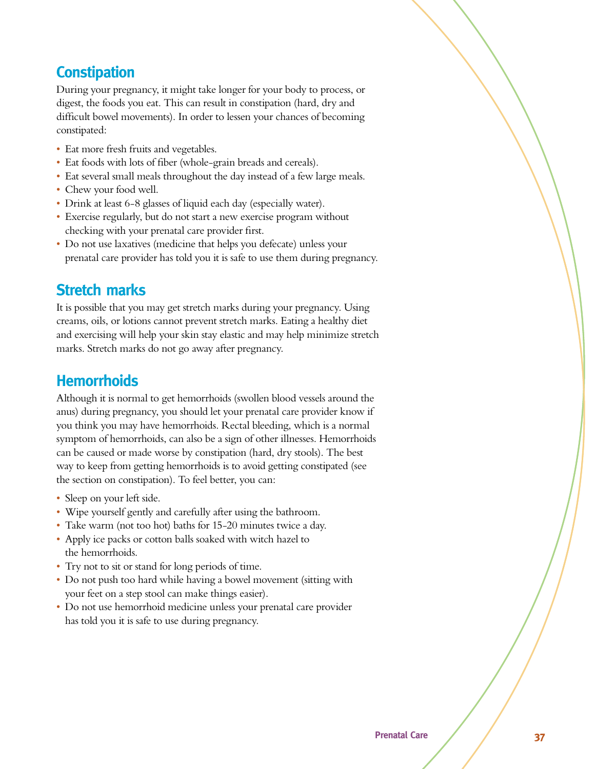### **Constipation**

During your pregnancy, it might take longer for your body to process, or digest, the foods you eat. This can result in constipation (hard, dry and difficult bowel movements). In order to lessen your chances of becoming constipated:

- Eat more fresh fruits and vegetables.
- Eat foods with lots of fiber (whole-grain breads and cereals).
- Eat several small meals throughout the day instead of a few large meals.
- Chew your food well.
- Drink at least 6-8 glasses of liquid each day (especially water).
- Exercise regularly, but do not start a new exercise program without checking with your prenatal care provider first.
- Do not use laxatives (medicine that helps you defecate) unless your prenatal care provider has told you it is safe to use them during pregnancy.

#### **Stretch marks**

It is possible that you may get stretch marks during your pregnancy. Using creams, oils, or lotions cannot prevent stretch marks. Eating a healthy diet and exercising will help your skin stay elastic and may help minimize stretch marks. Stretch marks do not go away after pregnancy.

#### **Hemorrhoids**

Although it is normal to get hemorrhoids (swollen blood vessels around the anus) during pregnancy, you should let your prenatal care provider know if you think you may have hemorrhoids. Rectal bleeding, which is a normal symptom of hemorrhoids, can also be a sign of other illnesses. Hemorrhoids can be caused or made worse by constipation (hard, dry stools). The best way to keep from getting hemorrhoids is to avoid getting constipated (see the section on constipation). To feel better, you can:

- Sleep on your left side.
- Wipe yourself gently and carefully after using the bathroom.
- Take warm (not too hot) baths for 15-20 minutes twice a day.
- Apply ice packs or cotton balls soaked with witch hazel to the hemorrhoids.
- Try not to sit or stand for long periods of time.
- Do not push too hard while having a bowel movement (sitting with your feet on a step stool can make things easier).
- Do not use hemorrhoid medicine unless your prenatal care provider has told you it is safe to use during pregnancy.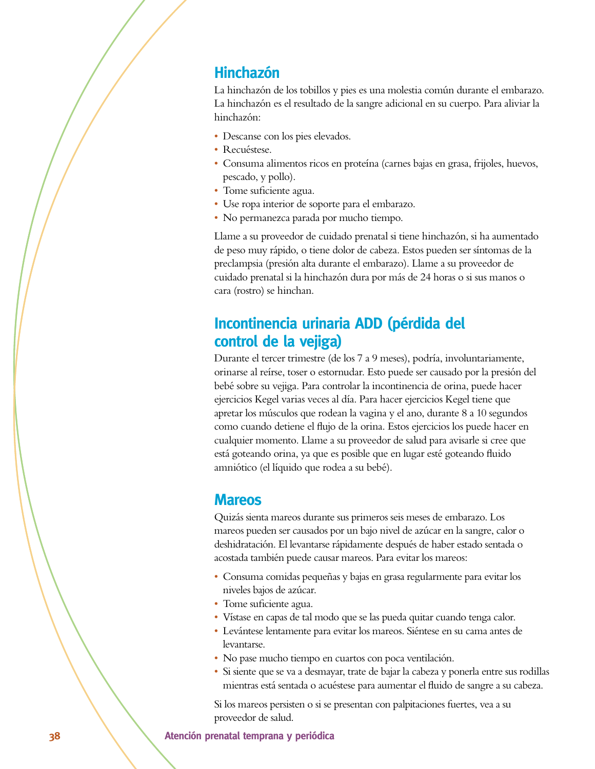#### **Hinchazón**

La hinchazón de los tobillos y pies es una molestia común durante el embarazo. La hinchazón es el resultado de la sangre adicional en su cuerpo. Para aliviar la hinchazón:

- · Descanse con los pies elevados.
- Recuéstese.
- s Consuma alimentos ricos en proteína (carnes bajas en grasa, frijoles, huevos, pescado, y pollo).
- Tome suficiente agua.
- s Use ropa interior de soporte para el embarazo.
- No permanezca parada por mucho tiempo.

Llame a su proveedor de cuidado prenatal si tiene hinchazón, si ha aumentado de peso muy rápido, o tiene dolor de cabeza. Estos pueden ser síntomas de la preclampsia (presión alta durante el embarazo). Llame a su proveedor de cuidado prenatal si la hinchazón dura por más de 24 horas o si sus manos o cara (rostro) se hinchan.

### **Incontinencia urinaria ADD (pérdida del** control de la vejiga)

Durante el tercer trimestre (de los 7 a 9 meses), podría, involuntariamente, orinarse al reírse, toser o estornudar. Esto puede ser causado por la presión del bebé sobre su vejiga. Para controlar la incontinencia de orina, puede hacer ejercicios Kegel varias veces al día. Para hacer ejercicios Kegel tiene que apretar los músculos que rodean la vagina y el ano, durante 8 a 10 segundos como cuando detiene el flujo de la orina. Estos ejercicios los puede hacer en cualquier momento. Llame a su proveedor de salud para avisarle si cree que está goteando orina, ya que es posible que en lugar esté goteando fluido amniótico (el líquido que rodea a su bebé).

#### **Mareos**

Quizás sienta mareos durante sus primeros seis meses de embarazo. Los mareos pueden ser causados por un bajo nivel de azúcar en la sangre, calor o deshidratación. El levantarse rápidamente después de haber estado sentada o acostada también puede causar mareos. Para evitar los mareos:

- s Consuma comidas pequeñas y bajas en grasa regularmente para evitar los niveles bajos de azúcar.
- Tome suficiente agua.
- s Vístase en capas de tal modo que se las pueda quitar cuando tenga calor.
- s Levántese lentamente para evitar los mareos. Siéntese en su cama antes de levantarse.
- s No pase mucho tiempo en cuartos con poca ventilación.
- · Si siente que se va a desmayar, trate de bajar la cabeza y ponerla entre sus rodillas mientras está sentada o acuéstese para aumentar el fluido de sangre a su cabeza.

Si los mareos persisten o si se presentan con palpitaciones fuertes, vea a su proveedor de salud.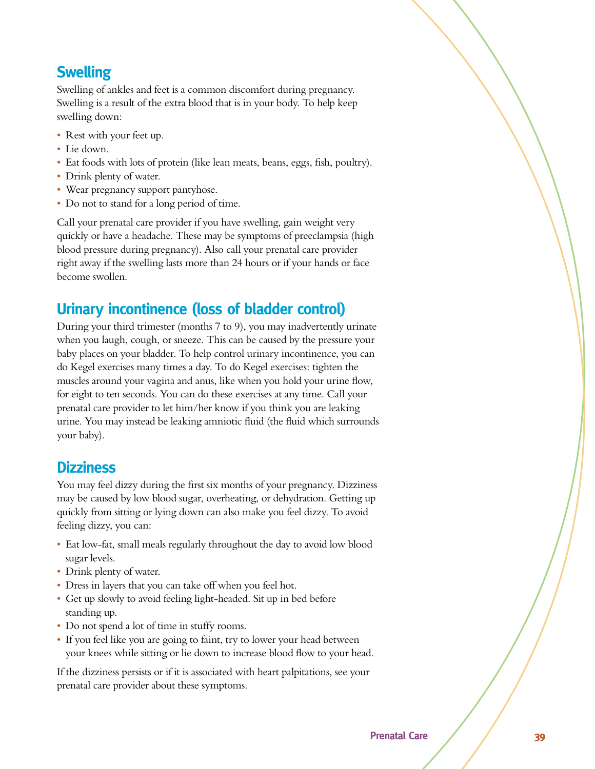### *<u>Swelling</u>*

Swelling of ankles and feet is a common discomfort during pregnancy. Swelling is a result of the extra blood that is in your body. To help keep swelling down:

- Rest with your feet up.
- Lie down.
- Eat foods with lots of protein (like lean meats, beans, eggs, fish, poultry).
- Drink plenty of water.
- Wear pregnancy support pantyhose.
- Do not to stand for a long period of time.

Call your prenatal care provider if you have swelling, gain weight very quickly or have a headache. These may be symptoms of preeclampsia (high blood pressure during pregnancy). Also call your prenatal care provider right away if the swelling lasts more than 24 hours or if your hands or face become swollen.

### **Urinary incontinence (loss of bladder control)**

During your third trimester (months 7 to 9), you may inadvertently urinate when you laugh, cough, or sneeze. This can be caused by the pressure your baby places on your bladder. To help control urinary incontinence, you can do Kegel exercises many times a day. To do Kegel exercises: tighten the muscles around your vagina and anus, like when you hold your urine flow, for eight to ten seconds. You can do these exercises at any time. Call your prenatal care provider to let him/her know if you think you are leaking urine. You may instead be leaking amniotic fluid (the fluid which surrounds your baby).

#### **Dizziness**

You may feel dizzy during the first six months of your pregnancy. Dizziness may be caused by low blood sugar, overheating, or dehydration. Getting up quickly from sitting or lying down can also make you feel dizzy. To avoid feeling dizzy, you can:

- Eat low-fat, small meals regularly throughout the day to avoid low blood sugar levels.
- Drink plenty of water.
- Dress in layers that you can take off when you feel hot.
- Get up slowly to avoid feeling light-headed. Sit up in bed before standing up.
- Do not spend a lot of time in stuffy rooms.
- If you feel like you are going to faint, try to lower your head between your knees while sitting or lie down to increase blood flow to your head.

If the dizziness persists or if it is associated with heart palpitations, see your prenatal care provider about these symptoms.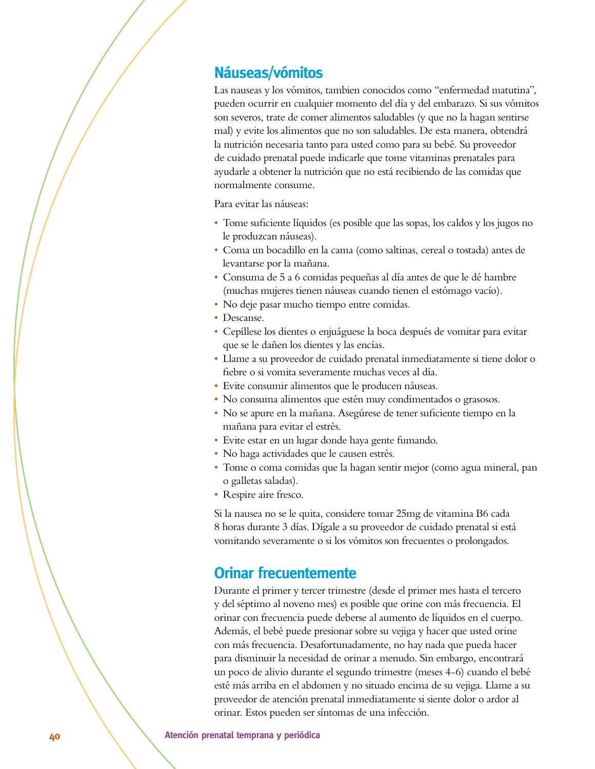#### **Náuseas/vómitos**

Las nauseas y los vómitos, tambien conocidos como "enfermedad matutina", pueden ocurrir en cualquier momento del día y del embarazo. Si sus vómitos son severos, trate de comer alimentos saludables (y que no la hagan sentirse mal) y evite los alimentos que no son saludables. De esta manera, obtendrá la nutrición necesaria tanto para usted como para su bebé. Su proveedor de cuidado prenatal puede indicarle que tome vitaminas prenatales para ayudarle a obtener la nutrición que no está recibiendo de las comidas que normalmente consume.

Para evitar las náuseas:

- s Tome suficiente líquidos (es posible que las sopas, los caldos y los jugos no le produzcan náuseas).
- s Coma un bocadillo en la cama (como saltinas, cereal o tostada) antes de levantarse por la mañana.
- s Consuma de 5 a 6 comidas pequeñas al día antes de que le dé hambre (muchas mujeres tienen náuseas cuando tienen el estómago vacío).
- No deje pasar mucho tiempo entre comidas.
- Descanse.
- s Cepíllese los dientes o enjuáguese la boca después de vomitar para evitar que se le dañen los dientes y las encías.
- s Llame a su proveedor de cuidado prenatal inmediatamente si tiene dolor o fiebre o si vomita severamente muchas veces al día.
- s Evite consumir alimentos que le producen náuseas.
- No consuma alimentos que estén muy condimentados o grasosos.
- s No se apure en la mañana. Asegúrese de tener suficiente tiempo en la mañana para evitar el estrés.
- Evite estar en un lugar donde haya gente fumando.
- No haga actividades que le causen estrés.
- s Tome o coma comidas que la hagan sentir mejor (como agua mineral, pan o galletas saladas).
- Respire aire fresco.

Si la nausea no se le quita, considere tomar 25mg de vitamina B6 cada 8 horas durante 3 días. Dígale a su proveedor de cuidado prenatal si está vomitando severamente o si los vómitos son frecuentes o prolongados.

#### **Orinar frecuentemente**

Durante el primer y tercer trimestre (desde el primer mes hasta el tercero y del séptimo al noveno mes) es posible que orine con más frecuencia. El orinar con frecuencia puede deberse al aumento de líquidos en el cuerpo. Además, el bebé puede presionar sobre su vejiga y hacer que usted orine con más frecuencia. Desafortunadamente, no hay nada que pueda hacer para disminuir la necesidad de orinar a menudo. Sin embargo, encontrará un poco de alivio durante el segundo trimestre (meses 4-6) cuando el bebé esté más arriba en el abdomen y no situado encima de su vejiga. Llame a su proveedor de atención prenatal inmediatamente si siente dolor o ardor al orinar. Estos pueden ser síntomas de una infección.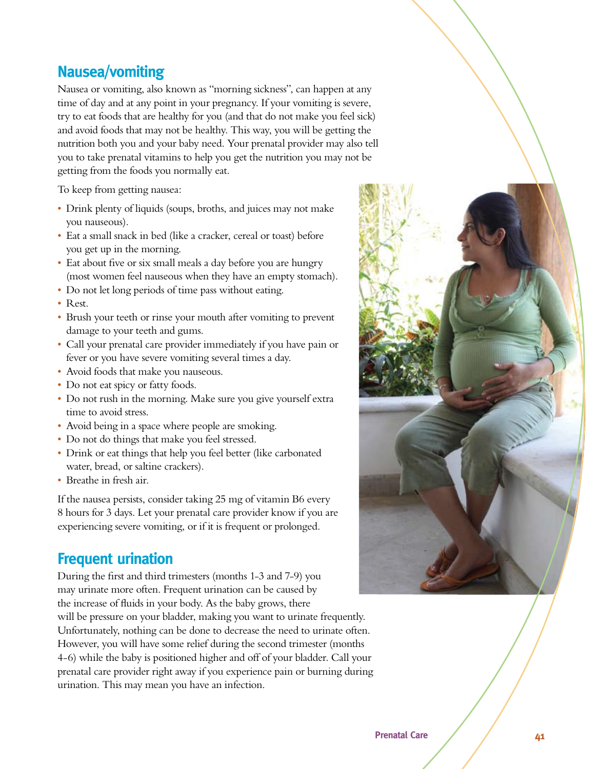### **Nausea/vomiting**

Nausea or vomiting, also known as "morning sickness", can happen at any time of day and at any point in your pregnancy. If your vomiting is severe, try to eat foods that are healthy for you (and that do not make you feel sick) and avoid foods that may not be healthy. This way, you will be getting the nutrition both you and your baby need. Your prenatal provider may also tell you to take prenatal vitamins to help you get the nutrition you may not be getting from the foods you normally eat.

To keep from getting nausea:

- Drink plenty of liquids (soups, broths, and juices may not make you nauseous).
- Eat a small snack in bed (like a cracker, cereal or toast) before you get up in the morning.
- Eat about five or six small meals a day before you are hungry (most women feel nauseous when they have an empty stomach).
- Do not let long periods of time pass without eating.
- Rest.
- Brush your teeth or rinse your mouth after vomiting to prevent damage to your teeth and gums.
- Call your prenatal care provider immediately if you have pain or fever or you have severe vomiting several times a day.
- Avoid foods that make you nauseous.
- Do not eat spicy or fatty foods.
- Do not rush in the morning. Make sure you give yourself extra time to avoid stress.
- Avoid being in a space where people are smoking.
- Do not do things that make you feel stressed.
- Drink or eat things that help you feel better (like carbonated water, bread, or saltine crackers).
- Breathe in fresh air.

If the nausea persists, consider taking 25 mg of vitamin B6 every 8 hours for 3 days. Let your prenatal care provider know if you are experiencing severe vomiting, or if it is frequent or prolonged.

#### **Frequent urination**

During the first and third trimesters (months 1-3 and 7-9) you may urinate more often. Frequent urination can be caused by the increase of fluids in your body. As the baby grows, there will be pressure on your bladder, making you want to urinate frequently. Unfortunately, nothing can be done to decrease the need to urinate often. However, you will have some relief during the second trimester (months 4-6) while the baby is positioned higher and off of your bladder. Call your prenatal care provider right away if you experience pain or burning during urination. This may mean you have an infection.

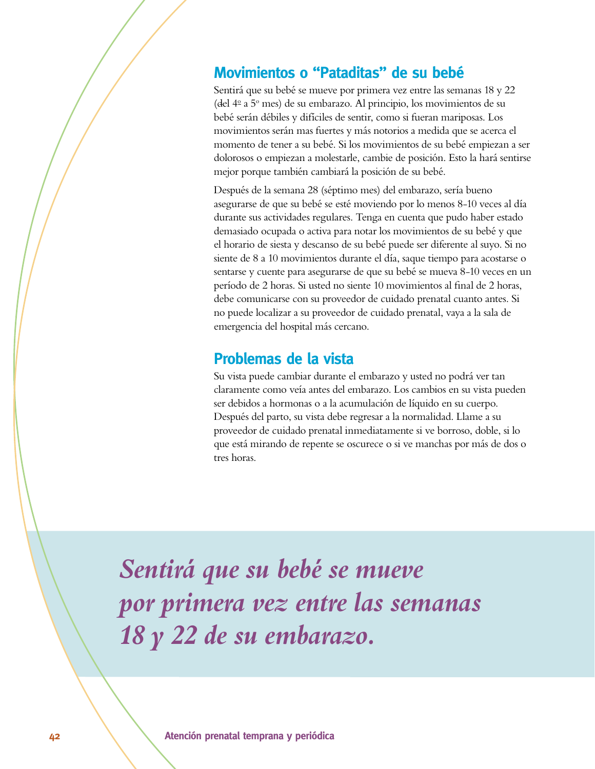#### **Movimientos o "Pataditas" de su bebé**

Sentirá que su bebé se mueve por primera vez entre las semanas 18 y 22 (del 4<sup>o</sup> a 5<sup>o</sup> mes) de su embarazo. Al principio, los movimientos de su bebé serán débiles y difíciles de sentir, como si fueran mariposas. Los movimientos serán mas fuertes y más notorios a medida que se acerca el momento de tener a su bebé. Si los movimientos de su bebé empiezan a ser dolorosos o empiezan a molestarle, cambie de posición. Esto la hará sentirse mejor porque también cambiará la posición de su bebé.

Después de la semana 28 (séptimo mes) del embarazo, sería bueno asegurarse de que su bebé se esté moviendo por lo menos 8-10 veces al día durante sus actividades regulares. Tenga en cuenta que pudo haber estado demasiado ocupada o activa para notar los movimientos de su bebé y que el horario de siesta y descanso de su bebé puede ser diferente al suyo. Si no siente de 8 a 10 movimientos durante el día, saque tiempo para acostarse o sentarse y cuente para asegurarse de que su bebé se mueva 8-10 veces en un período de 2 horas. Si usted no siente 10 movimientos al final de 2 horas, debe comunicarse con su proveedor de cuidado prenatal cuanto antes. Si no puede localizar a su proveedor de cuidado prenatal, vaya a la sala de emergencia del hospital más cercano.

#### **Problemas de la vista**

Su vista puede cambiar durante el embarazo y usted no podrá ver tan claramente como veía antes del embarazo. Los cambios en su vista pueden ser debidos a hormonas o a la acumulación de líquido en su cuerpo. Después del parto, su vista debe regresar a la normalidad. Llame a su proveedor de cuidado prenatal inmediatamente si ve borroso, doble, si lo que está mirando de repente se oscurece o si ve manchas por más de dos o tres horas.

*Sentirá que su bebé se mueve por primera vez entre las semanas 18 y 22 de su embarazo.*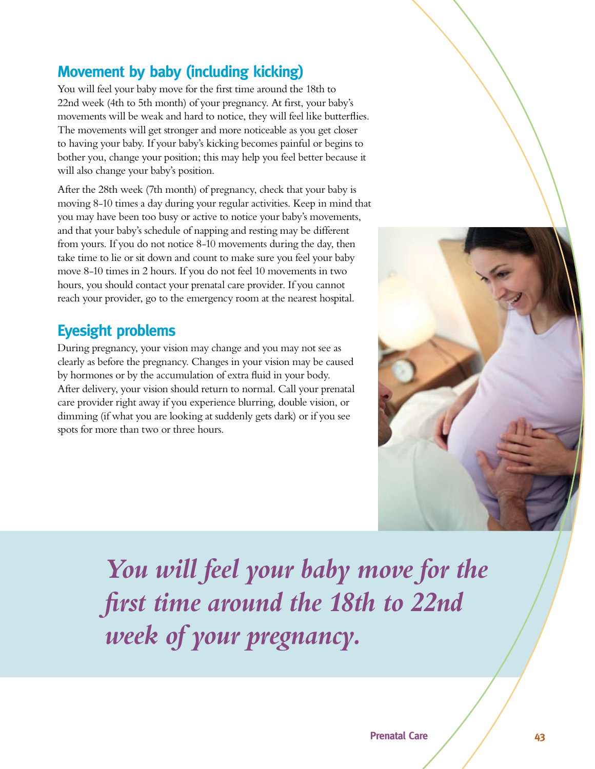### **Movement by baby (including kicking)**

You will feel your baby move for the first time around the 18th to 22nd week (4th to 5th month) of your pregnancy. At first, your baby's movements will be weak and hard to notice, they will feel like butterflies. The movements will get stronger and more noticeable as you get closer to having your baby. If your baby's kicking becomes painful or begins to bother you, change your position; this may help you feel better because it will also change your baby's position.

After the 28th week (7th month) of pregnancy, check that your baby is moving 8-10 times a day during your regular activities. Keep in mind that you may have been too busy or active to notice your baby's movements, and that your baby's schedule of napping and resting may be different from yours. If you do not notice 8-10 movements during the day, then take time to lie or sit down and count to make sure you feel your baby move 8-10 times in 2 hours. If you do not feel 10 movements in two hours, you should contact your prenatal care provider. If you cannot reach your provider, go to the emergency room at the nearest hospital.

### **Eyesight problems**

During pregnancy, your vision may change and you may not see as clearly as before the pregnancy. Changes in your vision may be caused by hormones or by the accumulation of extra fluid in your body. After delivery, your vision should return to normal. Call your prenatal care provider right away if you experience blurring, double vision, or dimming (if what you are looking at suddenly gets dark) or if you see spots for more than two or three hours.



*You will feel your baby move for the first time around the 18th to 22nd week of your pregnancy.*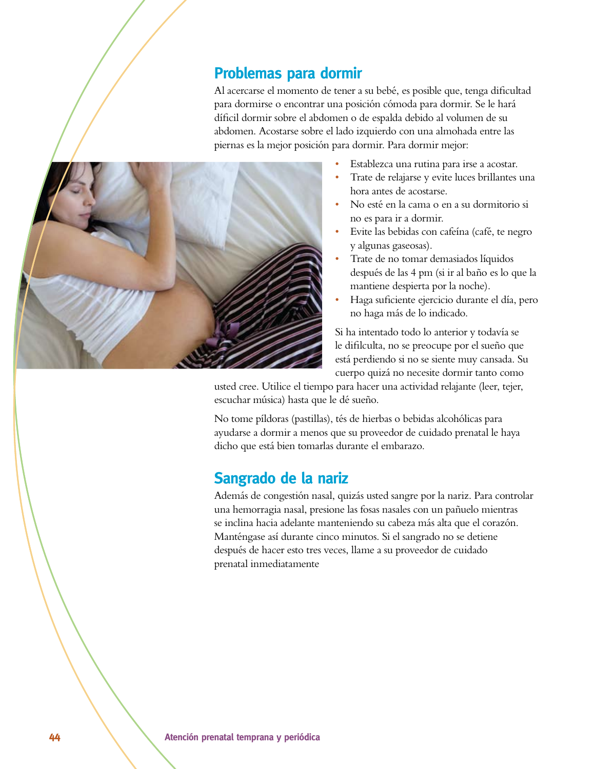#### **Problemas para dormir**

Al acercarse el momento de tener a su bebé, es posible que, tenga dificultad para dormirse o encontrar una posición cómoda para dormir. Se le hará díficil dormir sobre el abdomen o de espalda debido al volumen de su abdomen. Acostarse sobre el lado izquierdo con una almohada entre las piernas es la mejor posición para dormir. Para dormir mejor:



- Establezca una rutina para irse a acostar.
- Trate de relajarse y evite luces brillantes una hora antes de acostarse.
- s No esté en la cama o en a su dormitorio si no es para ir a dormir.
- s Evite las bebidas con cafeína (café, te negro y algunas gaseosas).
- s Trate de no tomar demasiados líquidos después de las 4 pm (si ir al baño es lo que la mantiene despierta por la noche).
- s Haga suficiente ejercicio durante el día, pero no haga más de lo indicado.

Si ha intentado todo lo anterior y todavía se le difilculta, no se preocupe por el sueño que está perdiendo si no se siente muy cansada. Su cuerpo quizá no necesite dormir tanto como

usted cree. Utilice el tiempo para hacer una actividad relajante (leer, tejer, escuchar música) hasta que le dé sueño.

No tome píldoras (pastillas), tés de hierbas o bebidas alcohólicas para ayudarse a dormir a menos que su proveedor de cuidado prenatal le haya dicho que está bien tomarlas durante el embarazo.

### **Sangrado de la nariz**

Además de congestión nasal, quizás usted sangre por la nariz. Para controlar una hemorragia nasal, presione las fosas nasales con un pañuelo mientras se inclina hacia adelante manteniendo su cabeza más alta que el corazón. Manténgase así durante cinco minutos. Si el sangrado no se detiene después de hacer esto tres veces, llame a su proveedor de cuidado prenatal inmediatamente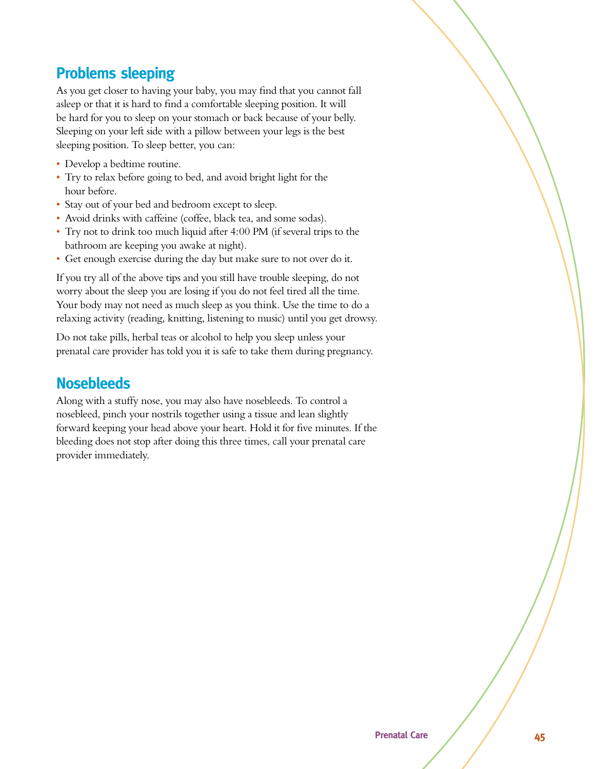### **Problems sleeping**

As you get closer to having your baby, you may find that you cannot fall asleep or that it is hard to find a comfortable sleeping position. It will be hard for you to sleep on your stomach or back because of your belly. Sleeping on your left side with a pillow between your legs is the best sleeping position. To sleep better, you can:

- Develop a bedtime routine.
- Try to relax before going to bed, and avoid bright light for the hour before.
- Stay out of your bed and bedroom except to sleep.
- s Avoid drinks with caffeine (coffee, black tea, and some sodas).
- Try not to drink too much liquid after 4:00 PM (if several trips to the bathroom are keeping you awake at night).
- s Get enough exercise during the day but make sure to not over do it.

If you try all of the above tips and you still have trouble sleeping, do not worry about the sleep you are losing if you do not feel tired all the time. Your body may not need as much sleep as you think. Use the time to do a relaxing activity (reading, knitting, listening to music) until you get drowsy.

Do not take pills, herbal teas or alcohol to help you sleep unless your prenatal care provider has told you it is safe to take them during pregnancy.

### **Nosebleeds**

Along with a stuffy nose, you may also have nosebleeds. To control a nosebleed, pinch your nostrils together using a tissue and lean slightly forward keeping your head above your heart. Hold it for five minutes. If the bleeding does not stop after doing this three times, call your prenatal care provider immediately.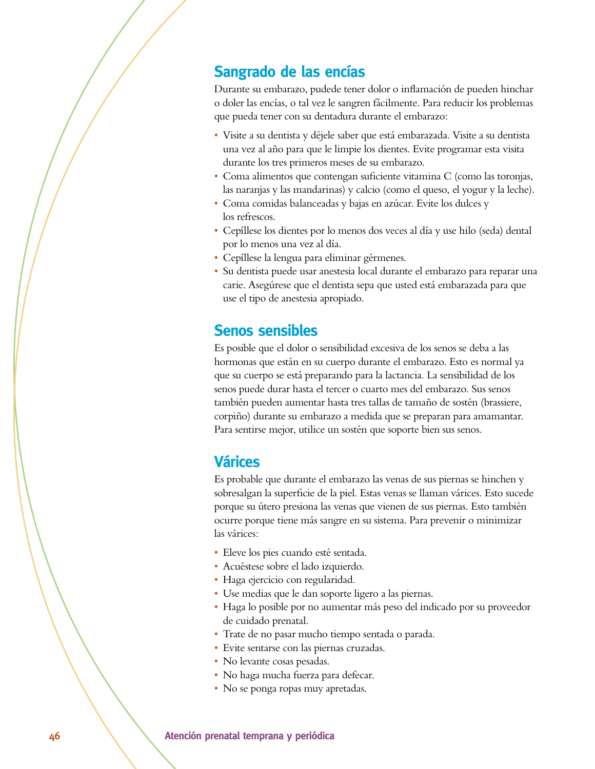#### **Sangrado de las encías**

Durante su embarazo, pudede tener dolor o inflamación de pueden hinchar o doler las encías, o tal vez le sangren fácilmente. Para reducir los problemas que pueda tener con su dentadura durante el embarazo:

- s Visite a su dentista y déjele saber que está embarazada. Visite a su dentista una vez al año para que le limpie los dientes. Evite programar esta visita durante los tres primeros meses de su embarazo.
- s Coma alimentos que contengan suficiente vitamina C (como las toronjas, las naranjas y las mandarinas) y calcio (como el queso, el yogur y la leche).
- s Coma comidas balanceadas y bajas en azúcar. Evite los dulces y los refrescos.
- s Cepíllese los dientes por lo menos dos veces al día y use hilo (seda) dental por lo menos una vez al día.
- s Cepíllese la lengua para eliminar gérmenes.
- · Su dentista puede usar anestesia local durante el embarazo para reparar una carie. Asegúrese que el dentista sepa que usted está embarazada para que use el tipo de anestesia apropiado.

#### **Senos sensibles**

Es posible que el dolor o sensibilidad excesiva de los senos se deba a las hormonas que están en su cuerpo durante el embarazo. Esto es normal ya que su cuerpo se está preparando para la lactancia. La sensibilidad de los senos puede durar hasta el tercer o cuarto mes del embarazo. Sus senos también pueden aumentar hasta tres tallas de tamaño de sostén (brassiere, corpiño) durante su embarazo a medida que se preparan para amamantar. Para sentirse mejor, utilice un sostén que soporte bien sus senos.

#### **Várices**

Es probable que durante el embarazo las venas de sus piernas se hinchen y sobresalgan la superficie de la piel. Estas venas se llaman várices. Esto sucede porque su útero presiona las venas que vienen de sus piernas. Esto también ocurre porque tiene más sangre en su sistema. Para prevenir o minimizar las várices:

- Eleve los pies cuando esté sentada.
- s Acuéstese sobre el lado izquierdo.
- Haga ejercicio con regularidad.
- s Use medias que le dan soporte ligero a las piernas.
- Haga lo posible por no aumentar más peso del indicado por su proveedor de cuidado prenatal.
- s Trate de no pasar mucho tiempo sentada o parada.
- Evite sentarse con las piernas cruzadas.
- No levante cosas pesadas.
- No haga mucha fuerza para defecar.
- No se ponga ropas muy apretadas.

#### **46** Matención prenatal temprana y periódica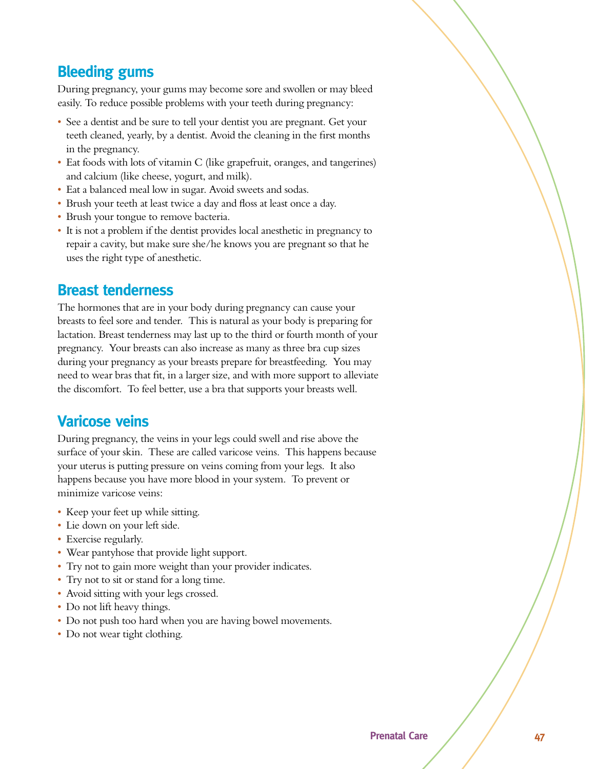### **Bleeding gums**

During pregnancy, your gums may become sore and swollen or may bleed easily. To reduce possible problems with your teeth during pregnancy:

- See a dentist and be sure to tell your dentist you are pregnant. Get your teeth cleaned, yearly, by a dentist. Avoid the cleaning in the first months in the pregnancy.
- Eat foods with lots of vitamin C (like grapefruit, oranges, and tangerines) and calcium (like cheese, yogurt, and milk).
- Eat a balanced meal low in sugar. Avoid sweets and sodas.
- Brush your teeth at least twice a day and floss at least once a day.
- Brush your tongue to remove bacteria.
- s It is not a problem if the dentist provides local anesthetic in pregnancy to repair a cavity, but make sure she/he knows you are pregnant so that he uses the right type of anesthetic.

#### **Breast tenderness**

The hormones that are in your body during pregnancy can cause your breasts to feel sore and tender. This is natural as your body is preparing for lactation. Breast tenderness may last up to the third or fourth month of your pregnancy. Your breasts can also increase as many as three bra cup sizes during your pregnancy as your breasts prepare for breastfeeding. You may need to wear bras that fit, in a larger size, and with more support to alleviate the discomfort. To feel better, use a bra that supports your breasts well.

#### **Varicose veins**

During pregnancy, the veins in your legs could swell and rise above the surface of your skin. These are called varicose veins. This happens because your uterus is putting pressure on veins coming from your legs. It also happens because you have more blood in your system. To prevent or minimize varicose veins:

- Keep your feet up while sitting.
- Lie down on your left side.
- Exercise regularly.
- Wear pantyhose that provide light support.
- Try not to gain more weight than your provider indicates.
- Try not to sit or stand for a long time.
- Avoid sitting with your legs crossed.
- Do not lift heavy things.
- Do not push too hard when you are having bowel movements.
- Do not wear tight clothing.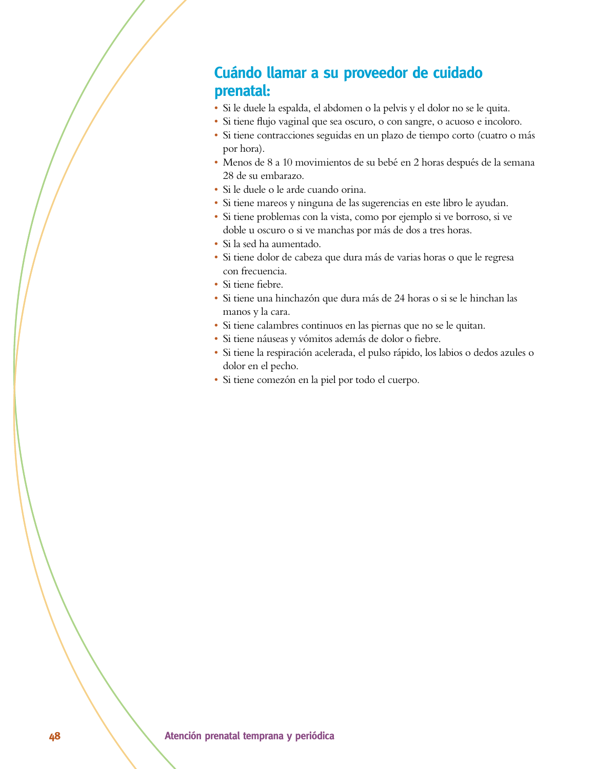### **Cuándo llamar a su proveedor de cuidado prenatal:**

- s Si le duele la espalda, el abdomen o la pelvis y el dolor no se le quita.
- · Si tiene flujo vaginal que sea oscuro, o con sangre, o acuoso e incoloro.
- · Si tiene contracciones seguidas en un plazo de tiempo corto (cuatro o más por hora).
- s Menos de 8 a 10 movimientos de su bebé en 2 horas después de la semana 28 de su embarazo.
- s Si le duele o le arde cuando orina.
- s Si tiene mareos y ninguna de las sugerencias en este libro le ayudan.
- · Si tiene problemas con la vista, como por ejemplo si ve borroso, si ve doble u oscuro o si ve manchas por más de dos a tres horas.
- Si la sed ha aumentado.
- · Si tiene dolor de cabeza que dura más de varias horas o que le regresa con frecuencia.
- Si tiene fiebre.
- · Si tiene una hinchazón que dura más de 24 horas o si se le hinchan las manos y la cara.
- s Si tiene calambres continuos en las piernas que no se le quitan.
- · Si tiene náuseas y vómitos además de dolor o fiebre.
- · Si tiene la respiración acelerada, el pulso rápido, los labios o dedos azules o dolor en el pecho.
- s Si tiene comezón en la piel por todo el cuerpo.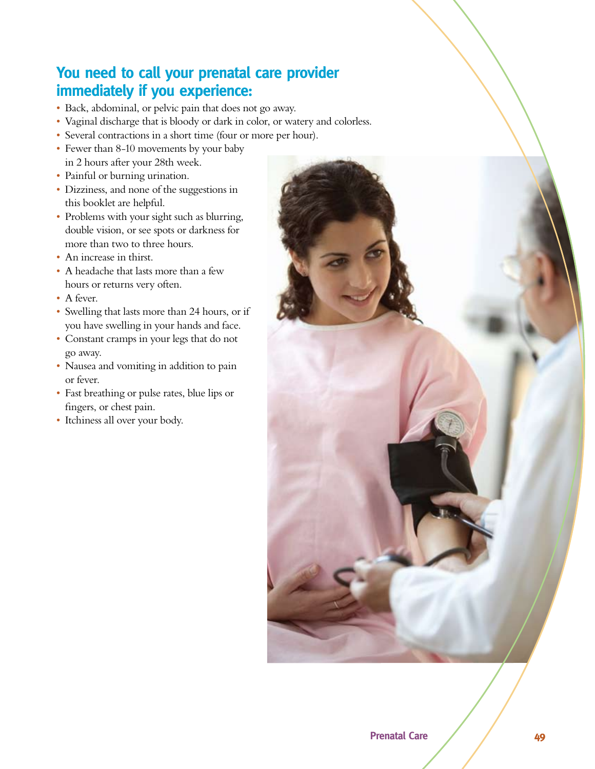### You need to call your prenatal care provider **immediately if you experience:**

- s Back, abdominal, or pelvic pain that does not go away.
- Vaginal discharge that is bloody or dark in color, or watery and colorless.
- Several contractions in a short time (four or more per hour).
- Fewer than 8-10 movements by your baby in 2 hours after your 28th week.
- Painful or burning urination.
- Dizziness, and none of the suggestions in this booklet are helpful.
- Problems with your sight such as blurring, double vision, or see spots or darkness for more than two to three hours.
- An increase in thirst.
- A headache that lasts more than a few hours or returns very often.
- A fever.
- s Swelling that lasts more than 24 hours, or if you have swelling in your hands and face.
- Constant cramps in your legs that do not go away.
- Nausea and vomiting in addition to pain or fever.
- Fast breathing or pulse rates, blue lips or fingers, or chest pain.
- Itchiness all over your body.

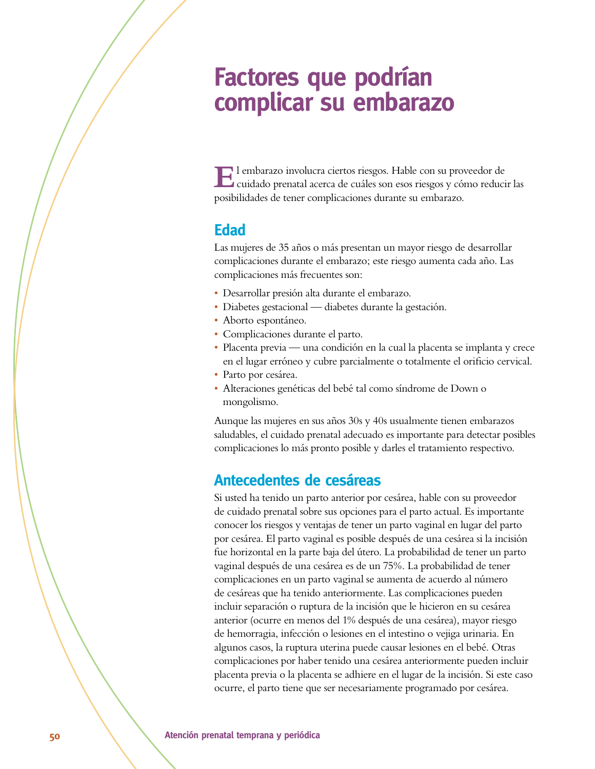## **Factores que podrían** complicar su embarazo

**E**l embarazo involucra ciertos riesgos. Hable con su proveedor de cuidado prenatal acerca de cuáles son esos riesgos y cómo reducir las posibilidades de tener complicaciones durante su embarazo.

#### **Edad**

Las mujeres de 35 años o más presentan un mayor riesgo de desarrollar complicaciones durante el embarazo; este riesgo aumenta cada año. Las complicaciones más frecuentes son:

- s Desarrollar presión alta durante el embarazo.
- Diabetes gestacional diabetes durante la gestación.
- Aborto espontáneo.
- Complicaciones durante el parto.
- s Placenta previa una condición en la cual la placenta se implanta y crece en el lugar erróneo y cubre parcialmente o totalmente el orificio cervical.
- Parto por cesárea.
- s Alteraciones genéticas del bebé tal como síndrome de Down o mongolismo.

Aunque las mujeres en sus años 30s y 40s usualmente tienen embarazos saludables, el cuidado prenatal adecuado es importante para detectar posibles complicaciones lo más pronto posible y darles el tratamiento respectivo.

#### **Antecedentes de cesáreas**

Si usted ha tenido un parto anterior por cesárea, hable con su proveedor de cuidado prenatal sobre sus opciones para el parto actual. Es importante conocer los riesgos y ventajas de tener un parto vaginal en lugar del parto por cesárea. El parto vaginal es posible después de una cesárea si la incisión fue horizontal en la parte baja del útero. La probabilidad de tener un parto vaginal después de una cesárea es de un 75%. La probabilidad de tener complicaciones en un parto vaginal se aumenta de acuerdo al número de cesáreas que ha tenido anteriormente. Las complicaciones pueden incluir separación o ruptura de la incisión que le hicieron en su cesárea anterior (ocurre en menos del 1% después de una cesárea), mayor riesgo de hemorragia, infección o lesiones en el intestino o vejiga urinaria. En algunos casos, la ruptura uterina puede causar lesiones en el bebé. Otras complicaciones por haber tenido una cesárea anteriormente pueden incluir placenta previa o la placenta se adhiere en el lugar de la incisión. Si este caso ocurre, el parto tiene que ser necesariamente programado por cesárea.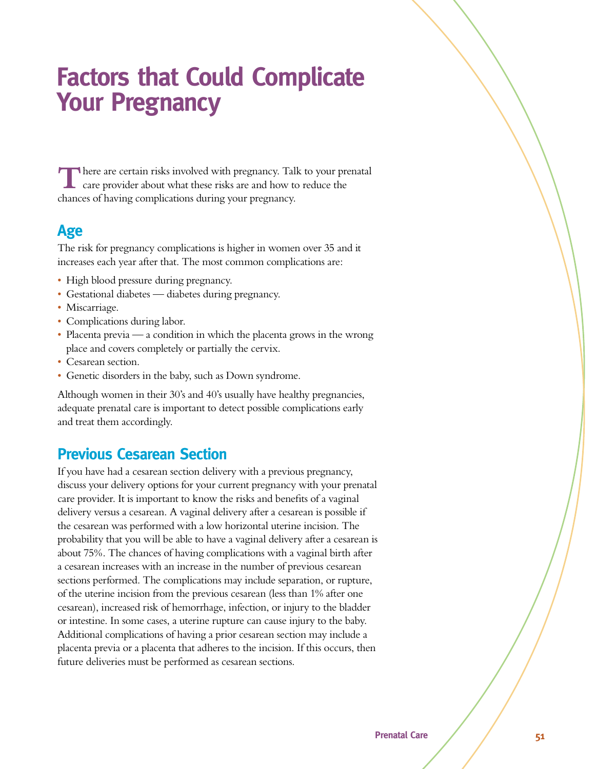## **Factors that Could Complicate Your Pregnancy**

**T**here are certain risks involved with pregnancy. Talk to your prenatal care provider about what these risks are and how to reduce the chances of having complications during your pregnancy.

### Age

The risk for pregnancy complications is higher in women over 35 and it increases each year after that. The most common complications are:

- High blood pressure during pregnancy.
- Gestational diabetes diabetes during pregnancy.
- Miscarriage.
- Complications during labor.
- Placenta previa  $\frac{1}{2}$  a condition in which the placenta grows in the wrong place and covers completely or partially the cervix.
- Cesarean section.
- Genetic disorders in the baby, such as Down syndrome.

Although women in their 30's and 40's usually have healthy pregnancies, adequate prenatal care is important to detect possible complications early and treat them accordingly.

### **Previous Cesarean Section**

If you have had a cesarean section delivery with a previous pregnancy, discuss your delivery options for your current pregnancy with your prenatal care provider. It is important to know the risks and benefits of a vaginal delivery versus a cesarean. A vaginal delivery after a cesarean is possible if the cesarean was performed with a low horizontal uterine incision. The probability that you will be able to have a vaginal delivery after a cesarean is about 75%. The chances of having complications with a vaginal birth after a cesarean increases with an increase in the number of previous cesarean sections performed. The complications may include separation, or rupture, of the uterine incision from the previous cesarean (less than 1% after one cesarean), increased risk of hemorrhage, infection, or injury to the bladder or intestine. In some cases, a uterine rupture can cause injury to the baby. Additional complications of having a prior cesarean section may include a placenta previa or a placenta that adheres to the incision. If this occurs, then future deliveries must be performed as cesarean sections.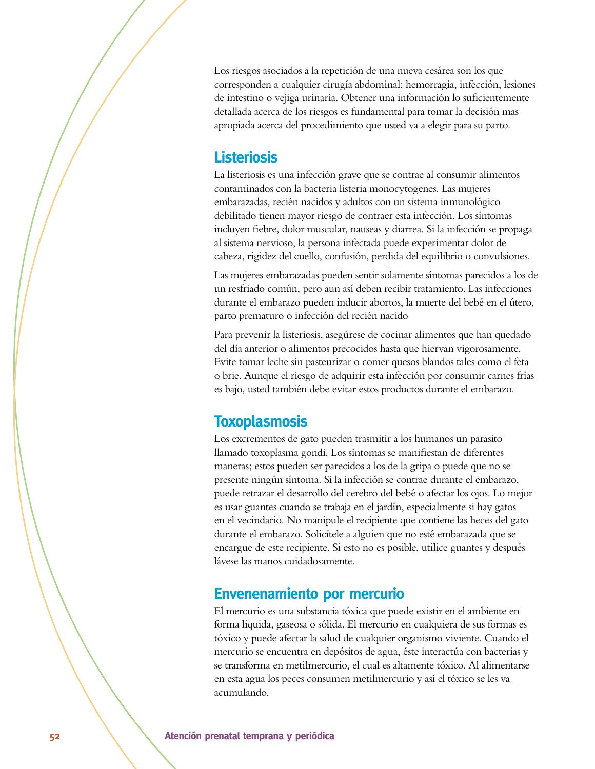Los riesgos asociados a la repetición de una nueva cesárea son los que corresponden a cualquier cirugía abdominal: hemorragia, infección, lesiones de intestino o vejiga urinaria. Obtener una información lo suficientemente detallada acerca de los riesgos es fundamental para tomar la decisión mas apropiada acerca del procedimiento que usted va a elegir para su parto.

#### **Listeriosis**

La listeriosis es una infección grave que se contrae al consumir alimentos contaminados con la bacteria listeria monocytogenes. Las mujeres embarazadas, recién nacidos y adultos con un sistema inmunológico debilitado tienen mayor riesgo de contraer esta infección. Los síntomas incluyen fiebre, dolor muscular, nauseas y diarrea. Si la infección se propaga al sistema nervioso, la persona infectada puede experimentar dolor de cabeza, rigidez del cuello, confusión, perdida del equilibrio o convulsiones.

Las mujeres embarazadas pueden sentir solamente síntomas parecidos a los de un resfriado común, pero aun así deben recibir tratamiento. Las infecciones durante el embarazo pueden inducir abortos, la muerte del bebé en el útero, parto prematuro o infección del recién nacido

Para prevenir la listeriosis, asegúrese de cocinar alimentos que han quedado del día anterior o alimentos precocidos hasta que hiervan vigorosamente. Evite tomar leche sin pasteurizar o comer quesos blandos tales como el feta o brie. Aunque el riesgo de adquirir esta infección por consumir carnes frías es bajo, usted también debe evitar estos productos durante el embarazo.

#### **Toxoplasmosis**

Los excrementos de gato pueden trasmitir a los humanos un parasito llamado toxoplasma gondi. Los síntomas se manifiestan de diferentes maneras; estos pueden ser parecidos a los de la gripa o puede que no se presente ningún síntoma. Si la infección se contrae durante el embarazo, puede retrazar el desarrollo del cerebro del bebé o afectar los ojos. Lo mejor es usar guantes cuando se trabaja en el jardín, especialmente si hay gatos en el vecindario. No manipule el recipiente que contiene las heces del gato durante el embarazo. Solicítele a alguien que no esté embarazada que se encargue de este recipiente. Si esto no es posible, utilice guantes y después lávese las manos cuidadosamente.

#### **Envenenamiento por mercurio**

El mercurio es una substancia tóxica que puede existir en el ambiente en forma liquida, gaseosa o sólida. El mercurio en cualquiera de sus formas es tóxico y puede afectar la salud de cualquier organismo viviente. Cuando el mercurio se encuentra en depósitos de agua, éste interactúa con bacterias y se transforma en metilmercurio, el cual es altamente tóxico. Al alimentarse en esta agua los peces consumen metilmercurio y así el tóxico se les va acumulando.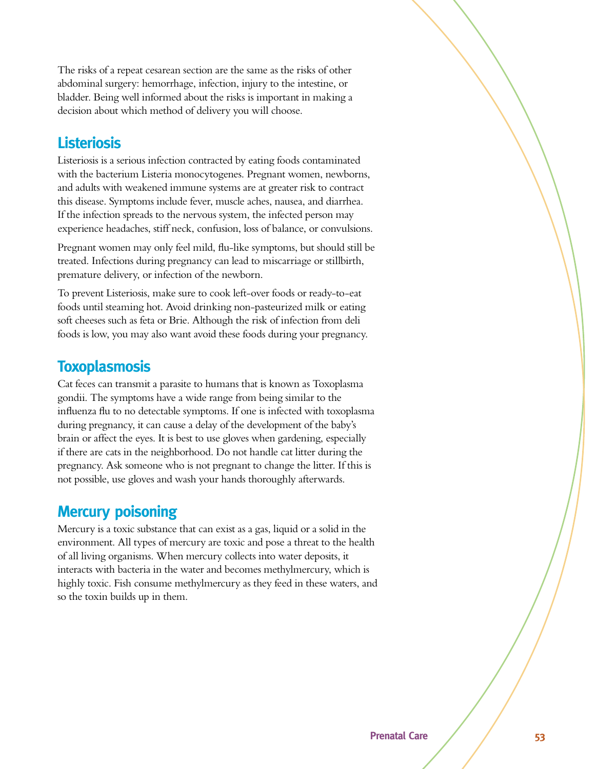The risks of a repeat cesarean section are the same as the risks of other abdominal surgery: hemorrhage, infection, injury to the intestine, or bladder. Being well informed about the risks is important in making a decision about which method of delivery you will choose.

#### **Listeriosis**

Listeriosis is a serious infection contracted by eating foods contaminated with the bacterium Listeria monocytogenes. Pregnant women, newborns, and adults with weakened immune systems are at greater risk to contract this disease. Symptoms include fever, muscle aches, nausea, and diarrhea. If the infection spreads to the nervous system, the infected person may experience headaches, stiff neck, confusion, loss of balance, or convulsions.

Pregnant women may only feel mild, flu-like symptoms, but should still be treated. Infections during pregnancy can lead to miscarriage or stillbirth, premature delivery, or infection of the newborn.

To prevent Listeriosis, make sure to cook left-over foods or ready-to-eat foods until steaming hot. Avoid drinking non-pasteurized milk or eating soft cheeses such as feta or Brie. Although the risk of infection from deli foods is low, you may also want avoid these foods during your pregnancy.

#### **Toxoplasmosis**

Cat feces can transmit a parasite to humans that is known as Toxoplasma gondii. The symptoms have a wide range from being similar to the influenza flu to no detectable symptoms. If one is infected with toxoplasma during pregnancy, it can cause a delay of the development of the baby's brain or affect the eyes. It is best to use gloves when gardening, especially if there are cats in the neighborhood. Do not handle cat litter during the pregnancy. Ask someone who is not pregnant to change the litter. If this is not possible, use gloves and wash your hands thoroughly afterwards.

#### **Mercury poisoning**

Mercury is a toxic substance that can exist as a gas, liquid or a solid in the environment. All types of mercury are toxic and pose a threat to the health of all living organisms. When mercury collects into water deposits, it interacts with bacteria in the water and becomes methylmercury, which is highly toxic. Fish consume methylmercury as they feed in these waters, and so the toxin builds up in them.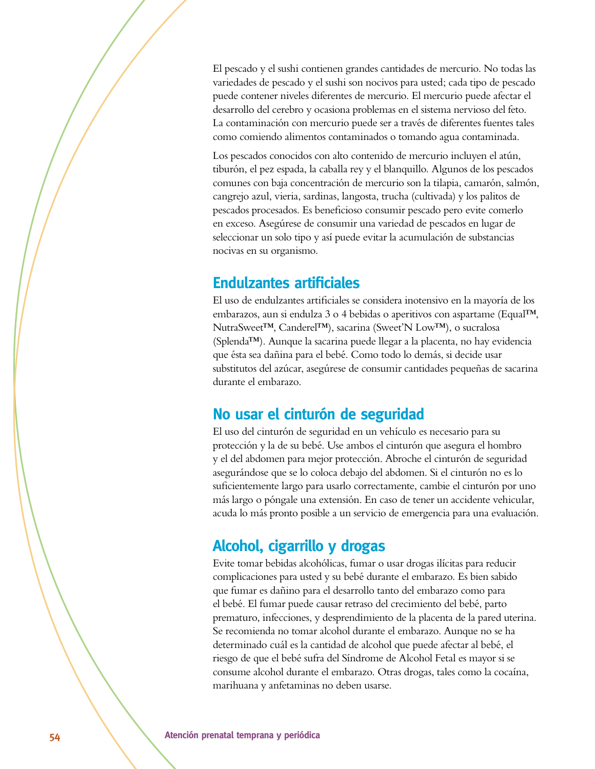El pescado y el sushi contienen grandes cantidades de mercurio. No todas las variedades de pescado y el sushi son nocivos para usted; cada tipo de pescado puede contener niveles diferentes de mercurio. El mercurio puede afectar el desarrollo del cerebro y ocasiona problemas en el sistema nervioso del feto. La contaminación con mercurio puede ser a través de diferentes fuentes tales como comiendo alimentos contaminados o tomando agua contaminada.

Los pescados conocidos con alto contenido de mercurio incluyen el atún, tiburón, el pez espada, la caballa rey y el blanquillo. Algunos de los pescados comunes con baja concentración de mercurio son la tilapia, camarón, salmón, cangrejo azul, vieria, sardinas, langosta, trucha (cultivada) y los palitos de pescados procesados. Es beneficioso consumir pescado pero evite comerlo en exceso. Asegúrese de consumir una variedad de pescados en lugar de seleccionar un solo tipo y así puede evitar la acumulación de substancias nocivas en su organismo.

#### **Endulzantes artificiales**

El uso de endulzantes artificiales se considera inotensivo en la mayoría de los embarazos, aun si endulza 3 o 4 bebidas o aperitivos con aspartame (Equal™, NutraSweet™, Canderel™), sacarina (Sweet'N Low™), o sucralosa (Splenda™). Aunque la sacarina puede llegar a la placenta, no hay evidencia que ésta sea dañina para el bebé. Como todo lo demás, si decide usar substitutos del azúcar, asegúrese de consumir cantidades pequeñas de sacarina durante el embarazo.

#### **No usar el cinturón de seguridad**

El uso del cinturón de seguridad en un vehículo es necesario para su protección y la de su bebé. Use ambos el cinturón que asegura el hombro y el del abdomen para mejor protección. Abroche el cinturón de seguridad asegurándose que se lo coloca debajo del abdomen. Si el cinturón no es lo suficientemente largo para usarlo correctamente, cambie el cinturón por uno más largo o póngale una extensión. En caso de tener un accidente vehicular, acuda lo más pronto posible a un servicio de emergencia para una evaluación.

### **Alcohol, cigarrillo y drogas**

Evite tomar bebidas alcohólicas, fumar o usar drogas ilícitas para reducir complicaciones para usted y su bebé durante el embarazo. Es bien sabido que fumar es dañino para el desarrollo tanto del embarazo como para el bebé. El fumar puede causar retraso del crecimiento del bebé, parto prematuro, infecciones, y desprendimiento de la placenta de la pared uterina. Se recomienda no tomar alcohol durante el embarazo. Aunque no se ha determinado cuál es la cantidad de alcohol que puede afectar al bebé, el riesgo de que el bebé sufra del Síndrome de Alcohol Fetal es mayor si se consume alcohol durante el embarazo. Otras drogas, tales como la cocaína, marihuana y anfetaminas no deben usarse.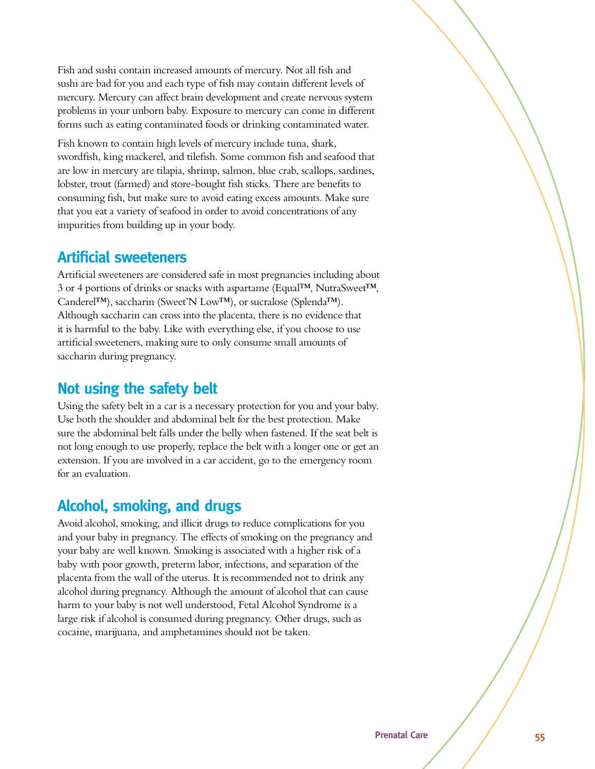Fish and sushi contain increased amounts of mercury. Not all fish and sushi are bad for you and each type of fish may contain different levels of mercury. Mercury can affect brain development and create nervous system problems in your unborn baby. Exposure to mercury can come in different forms such as eating contaminated foods or drinking contaminated water.

Fish known to contain high levels of mercury include tuna, shark, swordfish, king mackerel, and tilefish. Some common fish and seafood that are low in mercury are tilapia, shrimp, salmon, blue crab, scallops, sardines, lobster, trout (farmed) and store-bought fish sticks. There are benefits to consuming fish, but make sure to avoid eating excess amounts. Make sure that you eat a variety of seafood in order to avoid concentrations of any impurities from building up in your body.

### **Artificial sweeteners**

Artificial sweeteners are considered safe in most pregnancies including about 3 or 4 portions of drinks or snacks with aspartame (Equal™, NutraSweet™, Canderel™), saccharin (Sweet'N Low™), or sucralose (Splenda™). Although saccharin can cross into the placenta, there is no evidence that it is harmful to the baby. Like with everything else, if you choose to use artificial sweeteners, making sure to only consume small amounts of saccharin during pregnancy.

### **Not using the safety belt**

Using the safety belt in a car is a necessary protection for you and your baby. Use both the shoulder and abdominal belt for the best protection. Make sure the abdominal belt falls under the belly when fastened. If the seat belt is not long enough to use properly, replace the belt with a longer one or get an extension. If you are involved in a car accident, go to the emergency room for an evaluation.

### **Alcohol, smoking, and drugs**

Avoid alcohol, smoking, and illicit drugs to reduce complications for you and your baby in pregnancy. The effects of smoking on the pregnancy and your baby are well known. Smoking is associated with a higher risk of a baby with poor growth, preterm labor, infections, and separation of the placenta from the wall of the uterus. It is recommended not to drink any alcohol during pregnancy. Although the amount of alcohol that can cause harm to your baby is not well understood, Fetal Alcohol Syndrome is a large risk if alcohol is consumed during pregnancy. Other drugs, such as cocaine, marijuana, and amphetamines should not be taken.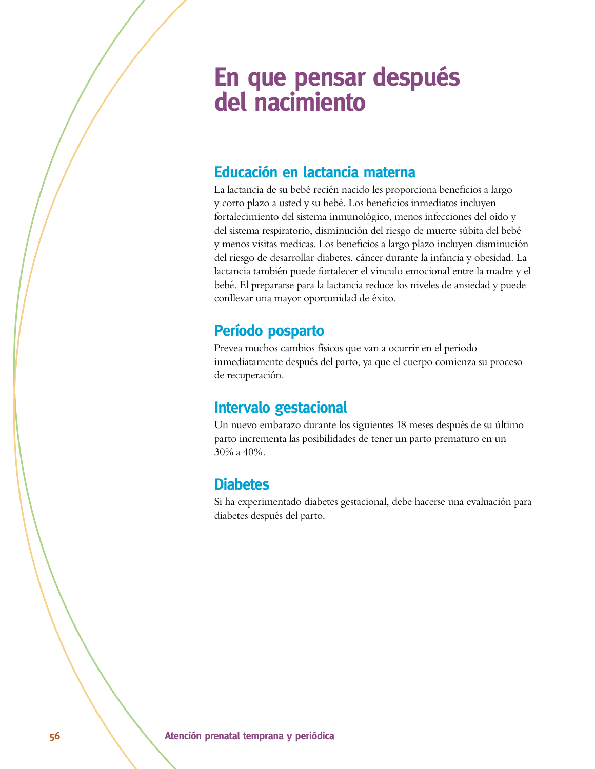## **En que pensar después** del nacimiento

#### **Educación en lactancia materna**

La lactancia de su bebé recién nacido les proporciona beneficios a largo y corto plazo a usted y su bebé. Los beneficios inmediatos incluyen fortalecimiento del sistema inmunológico, menos infecciones del oído y del sistema respiratorio, disminución del riesgo de muerte súbita del bebé y menos visitas medicas. Los beneficios a largo plazo incluyen disminución del riesgo de desarrollar diabetes, cáncer durante la infancia y obesidad. La lactancia también puede fortalecer el vinculo emocional entre la madre y el bebé. El prepararse para la lactancia reduce los niveles de ansiedad y puede conllevar una mayor oportunidad de éxito.

### **Período posparto**

Prevea muchos cambios físicos que van a ocurrir en el periodo inmediatamente después del parto, ya que el cuerpo comienza su proceso de recuperación.

### **Intervalo gestacional**

Un nuevo embarazo durante los siguientes 18 meses después de su último parto incrementa las posibilidades de tener un parto prematuro en un 30% a 40%.

### **Diabetes**

Si ha experimentado diabetes gestacional, debe hacerse una evaluación para diabetes después del parto.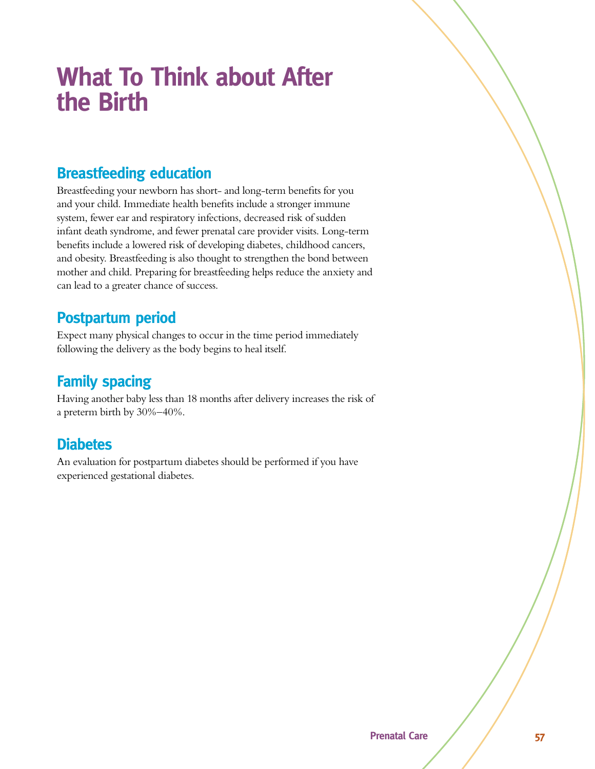## **What To Think about After the Birth**

### **Breastfeeding education**

Breastfeeding your newborn has short- and long-term benefits for you and your child. Immediate health benefits include a stronger immune system, fewer ear and respiratory infections, decreased risk of sudden infant death syndrome, and fewer prenatal care provider visits. Long-term benefits include a lowered risk of developing diabetes, childhood cancers, and obesity. Breastfeeding is also thought to strengthen the bond between mother and child. Preparing for breastfeeding helps reduce the anxiety and can lead to a greater chance of success.

### **Postpartum period**

Expect many physical changes to occur in the time period immediately following the delivery as the body begins to heal itself.

### **Family spacing**

Having another baby less than 18 months after delivery increases the risk of a preterm birth by 30%–40%.

#### **Diabetes**

An evaluation for postpartum diabetes should be performed if you have experienced gestational diabetes.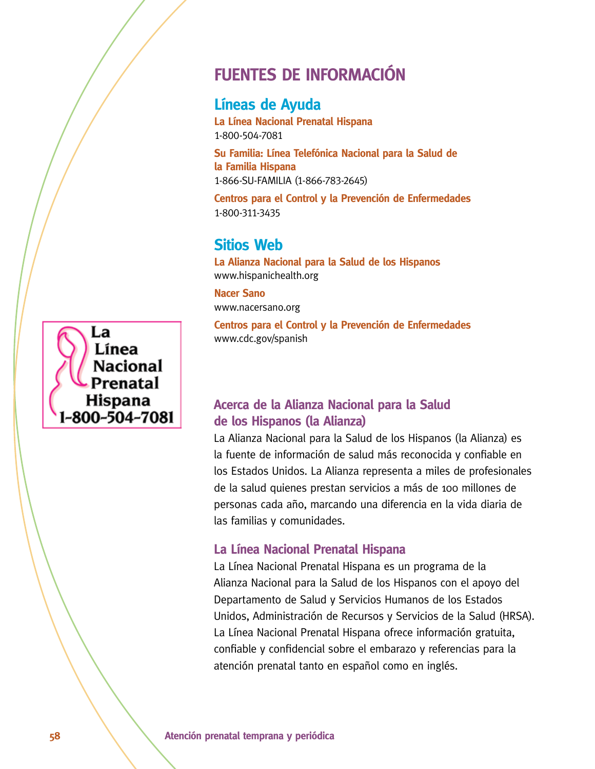### **FUENTES DE INFORMACIÓN**

### **Líneas de Ayuda**

**La Línea Nacional Prenatal Hispana** 1-800-504-7081

Su Familia: Línea Telefónica Nacional para la Salud de la Familia Hispana 1-866-SU-FAMILIA (1-866-783-2645)

Centros para el Control y la Prevención de Enfermedades 1-800-311-3435

### **Sitios Web**

La Alianza Nacional para la Salud de los Hispanos www.hispanichealth.org

**Nacer Sano** www.nacersano.org

Centros para el Control y la Prevención de Enfermedades www.cdc.gov/spanish

#### Acerca de la Alianza Nacional para la Salud de los Hispanos (la Alianza)

La Alianza Nacional para la Salud de los Hispanos (la Alianza) es la fuente de información de salud más reconocida y confiable en los Estados Unidos. La Alianza representa a miles de profesionales de la salud quienes prestan servicios a más de 100 millones de personas cada año, marcando una diferencia en la vida diaria de las familias y comunidades.

#### **La Línea Nacional Prenatal Hispana**

La Línea Nacional Prenatal Hispana es un programa de la Alianza Nacional para la Salud de los Hispanos con el apoyo del Departamento de Salud y Servicios Humanos de los Estados Unidos, Administración de Recursos y Servicios de la Salud (HRSA). La Línea Nacional Prenatal Hispana ofrece información gratuita, confiable y confidencial sobre el embarazo y referencias para la atención prenatal tanto en español como en inglés.

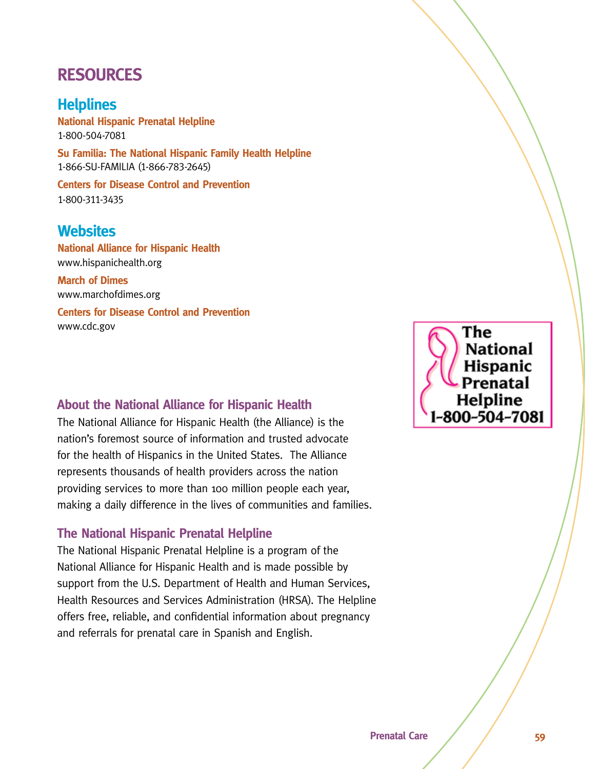### **RESOURCES**

### **Helplines**

**National Hispanic Prenatal Helpline** 1-800-504-7081

**Su Familia: The National Hispanic Family Health Helpline** 1-866-SU-FAMILIA (1-866-783-2645)

**Centers for Disease Control and Prevention** 1-800-311-3435

#### **Websites**

**National Alliance for Hispanic Health** www.hispanichealth.org

**March of Dimes** www.marchofdimes.org

**Centers for Disease Control and Prevention** www.cdc.gov

#### **About the National Alliance for Hispanic Health**

The National Alliance for Hispanic Health (the Alliance) is the nation's foremost source of information and trusted advocate for the health of Hispanics in the United States. The Alliance represents thousands of health providers across the nation providing services to more than 100 million people each year, making a daily difference in the lives of communities and families.

#### **The National Hispanic Prenatal Helpline**

The National Hispanic Prenatal Helpline is a program of the National Alliance for Hispanic Health and is made possible by support from the U.S. Department of Health and Human Services, Health Resources and Services Administration (HRSA). The Helpline offers free, reliable, and confidential information about pregnancy and referrals for prenatal care in Spanish and English.